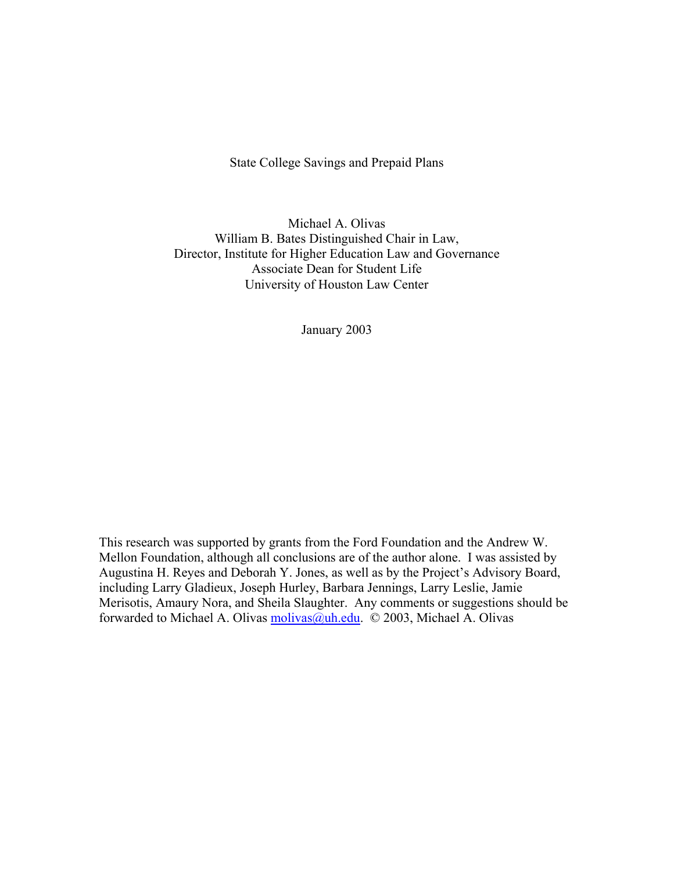State College Savings and Prepaid Plans

Michael A. Olivas William B. Bates Distinguished Chair in Law, Director, Institute for Higher Education Law and Governance Associate Dean for Student Life University of Houston Law Center

January 2003

This research was supported by grants from the Ford Foundation and the Andrew W. Mellon Foundation, although all conclusions are of the author alone. I was assisted by Augustina H. Reyes and Deborah Y. Jones, as well as by the Project's Advisory Board, including Larry Gladieux, Joseph Hurley, Barbara Jennings, Larry Leslie, Jamie Merisotis, Amaury Nora, and Sheila Slaughter. Any comments or suggestions should be forwarded to Michael A. Olivas molivas  $(a)$ uh.edu. © 2003, Michael A. Olivas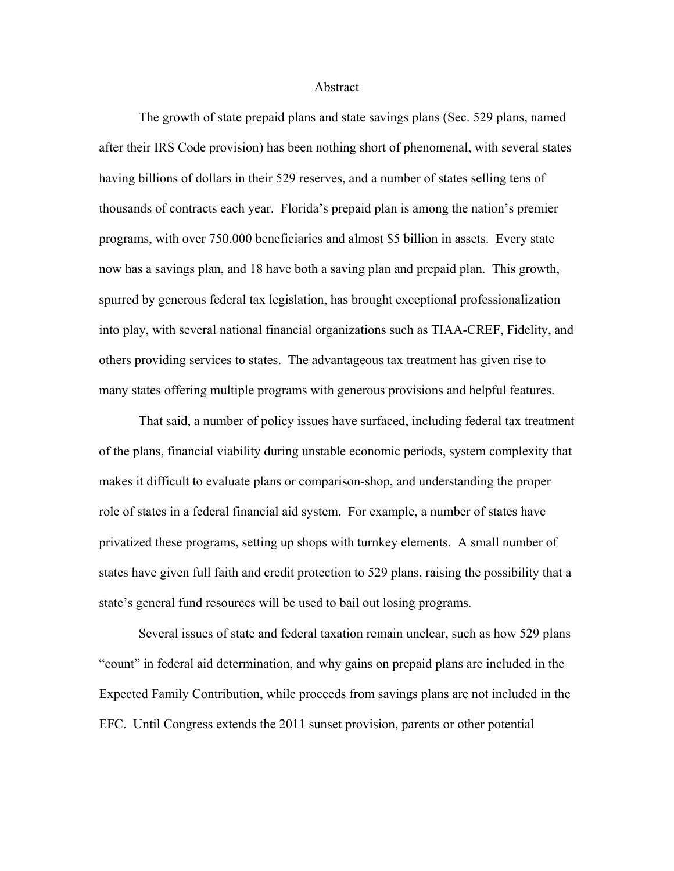### Abstract

 The growth of state prepaid plans and state savings plans (Sec. 529 plans, named after their IRS Code provision) has been nothing short of phenomenal, with several states having billions of dollars in their 529 reserves, and a number of states selling tens of thousands of contracts each year. Florida's prepaid plan is among the nation's premier programs, with over 750,000 beneficiaries and almost \$5 billion in assets. Every state now has a savings plan, and 18 have both a saving plan and prepaid plan. This growth, spurred by generous federal tax legislation, has brought exceptional professionalization into play, with several national financial organizations such as TIAA-CREF, Fidelity, and others providing services to states. The advantageous tax treatment has given rise to many states offering multiple programs with generous provisions and helpful features.

 That said, a number of policy issues have surfaced, including federal tax treatment of the plans, financial viability during unstable economic periods, system complexity that makes it difficult to evaluate plans or comparison-shop, and understanding the proper role of states in a federal financial aid system. For example, a number of states have privatized these programs, setting up shops with turnkey elements. A small number of states have given full faith and credit protection to 529 plans, raising the possibility that a state's general fund resources will be used to bail out losing programs.

 Several issues of state and federal taxation remain unclear, such as how 529 plans "count" in federal aid determination, and why gains on prepaid plans are included in the Expected Family Contribution, while proceeds from savings plans are not included in the EFC. Until Congress extends the 2011 sunset provision, parents or other potential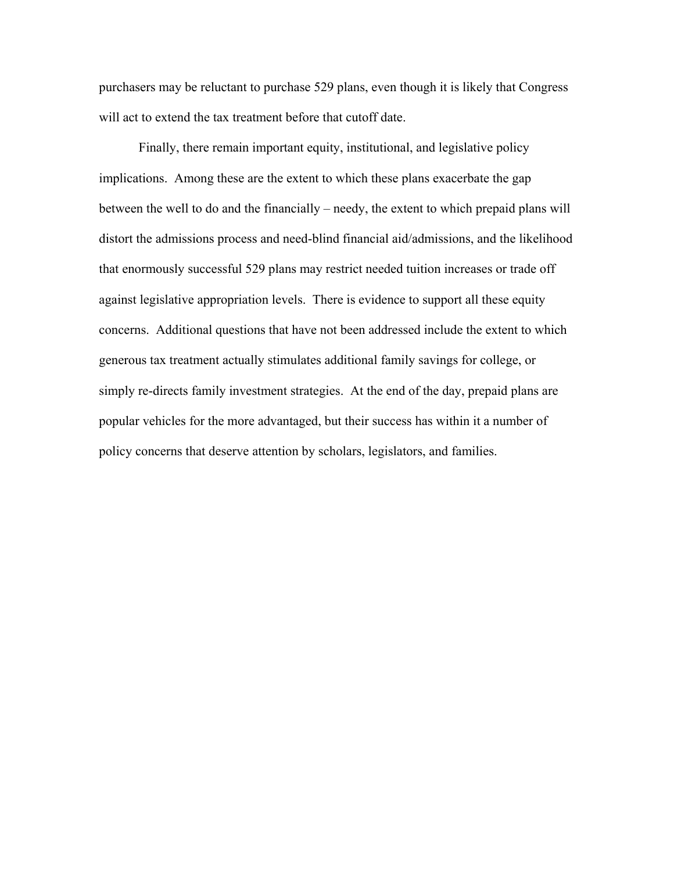purchasers may be reluctant to purchase 529 plans, even though it is likely that Congress will act to extend the tax treatment before that cutoff date.

 Finally, there remain important equity, institutional, and legislative policy implications. Among these are the extent to which these plans exacerbate the gap between the well to do and the financially – needy, the extent to which prepaid plans will distort the admissions process and need-blind financial aid/admissions, and the likelihood that enormously successful 529 plans may restrict needed tuition increases or trade off against legislative appropriation levels. There is evidence to support all these equity concerns. Additional questions that have not been addressed include the extent to which generous tax treatment actually stimulates additional family savings for college, or simply re-directs family investment strategies. At the end of the day, prepaid plans are popular vehicles for the more advantaged, but their success has within it a number of policy concerns that deserve attention by scholars, legislators, and families.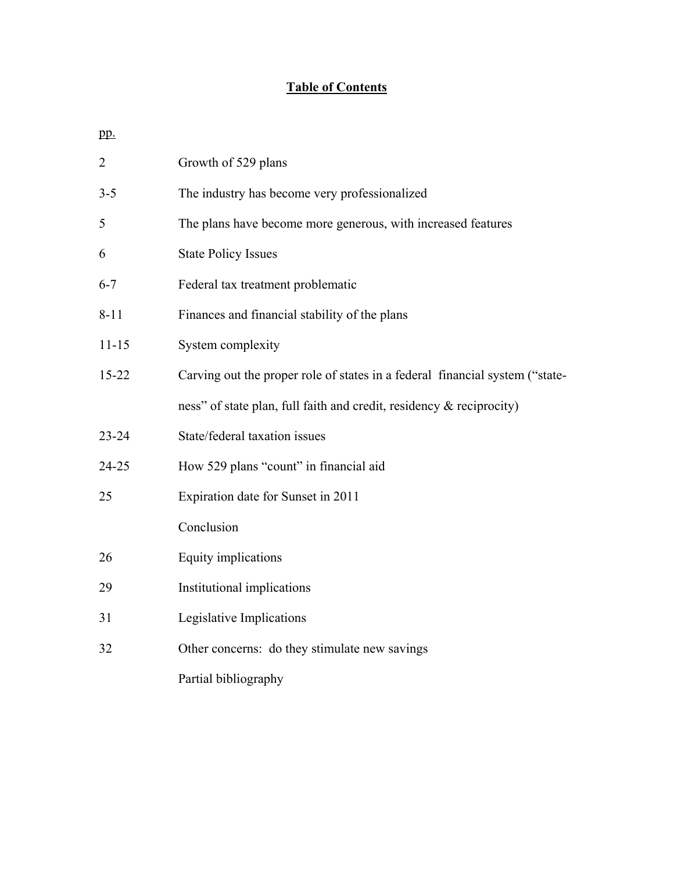# **Table of Contents**

| $\overline{2}$ | Growth of 529 plans                                                          |
|----------------|------------------------------------------------------------------------------|
| $3 - 5$        | The industry has become very professionalized                                |
| 5              | The plans have become more generous, with increased features                 |
| 6              | <b>State Policy Issues</b>                                                   |
| $6 - 7$        | Federal tax treatment problematic                                            |
| $8 - 11$       | Finances and financial stability of the plans                                |
| $11 - 15$      | System complexity                                                            |
| 15-22          | Carving out the proper role of states in a federal financial system ("state- |
|                | ness" of state plan, full faith and credit, residency & reciprocity)         |
| 23-24          | State/federal taxation issues                                                |
| 24-25          | How 529 plans "count" in financial aid                                       |
| 25             | Expiration date for Sunset in 2011                                           |
|                | Conclusion                                                                   |
| 26             | Equity implications                                                          |
| 29             | Institutional implications                                                   |
| 31             | Legislative Implications                                                     |
| 32             | Other concerns: do they stimulate new savings                                |
|                | Partial bibliography                                                         |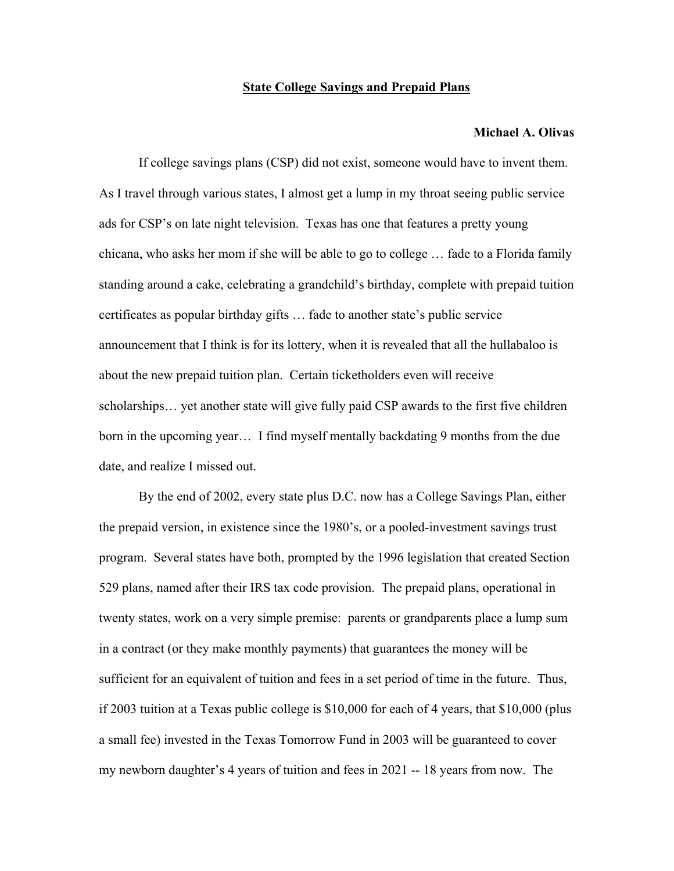### **State College Savings and Prepaid Plans**

### **Michael A. Olivas**

If college savings plans (CSP) did not exist, someone would have to invent them. As I travel through various states, I almost get a lump in my throat seeing public service ads for CSP's on late night television. Texas has one that features a pretty young chicana, who asks her mom if she will be able to go to college … fade to a Florida family standing around a cake, celebrating a grandchild's birthday, complete with prepaid tuition certificates as popular birthday gifts … fade to another state's public service announcement that I think is for its lottery, when it is revealed that all the hullabaloo is about the new prepaid tuition plan. Certain ticketholders even will receive scholarships… yet another state will give fully paid CSP awards to the first five children born in the upcoming year… I find myself mentally backdating 9 months from the due date, and realize I missed out.

By the end of 2002, every state plus D.C. now has a College Savings Plan, either the prepaid version, in existence since the 1980's, or a pooled-investment savings trust program. Several states have both, prompted by the 1996 legislation that created Section 529 plans, named after their IRS tax code provision. The prepaid plans, operational in twenty states, work on a very simple premise: parents or grandparents place a lump sum in a contract (or they make monthly payments) that guarantees the money will be sufficient for an equivalent of tuition and fees in a set period of time in the future. Thus, if 2003 tuition at a Texas public college is \$10,000 for each of 4 years, that \$10,000 (plus a small fee) invested in the Texas Tomorrow Fund in 2003 will be guaranteed to cover my newborn daughter's 4 years of tuition and fees in 2021 -- 18 years from now. The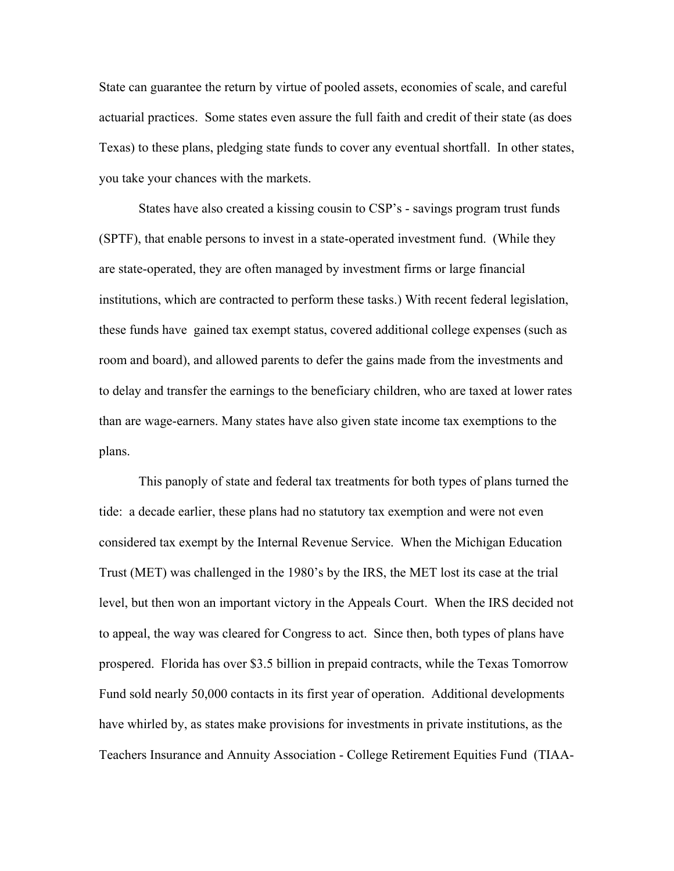State can guarantee the return by virtue of pooled assets, economies of scale, and careful actuarial practices. Some states even assure the full faith and credit of their state (as does Texas) to these plans, pledging state funds to cover any eventual shortfall. In other states, you take your chances with the markets.

States have also created a kissing cousin to CSP's - savings program trust funds (SPTF), that enable persons to invest in a state-operated investment fund. (While they are state-operated, they are often managed by investment firms or large financial institutions, which are contracted to perform these tasks.) With recent federal legislation, these funds have gained tax exempt status, covered additional college expenses (such as room and board), and allowed parents to defer the gains made from the investments and to delay and transfer the earnings to the beneficiary children, who are taxed at lower rates than are wage-earners. Many states have also given state income tax exemptions to the plans.

This panoply of state and federal tax treatments for both types of plans turned the tide: a decade earlier, these plans had no statutory tax exemption and were not even considered tax exempt by the Internal Revenue Service. When the Michigan Education Trust (MET) was challenged in the 1980's by the IRS, the MET lost its case at the trial level, but then won an important victory in the Appeals Court. When the IRS decided not to appeal, the way was cleared for Congress to act. Since then, both types of plans have prospered. Florida has over \$3.5 billion in prepaid contracts, while the Texas Tomorrow Fund sold nearly 50,000 contacts in its first year of operation. Additional developments have whirled by, as states make provisions for investments in private institutions, as the Teachers Insurance and Annuity Association - College Retirement Equities Fund (TIAA-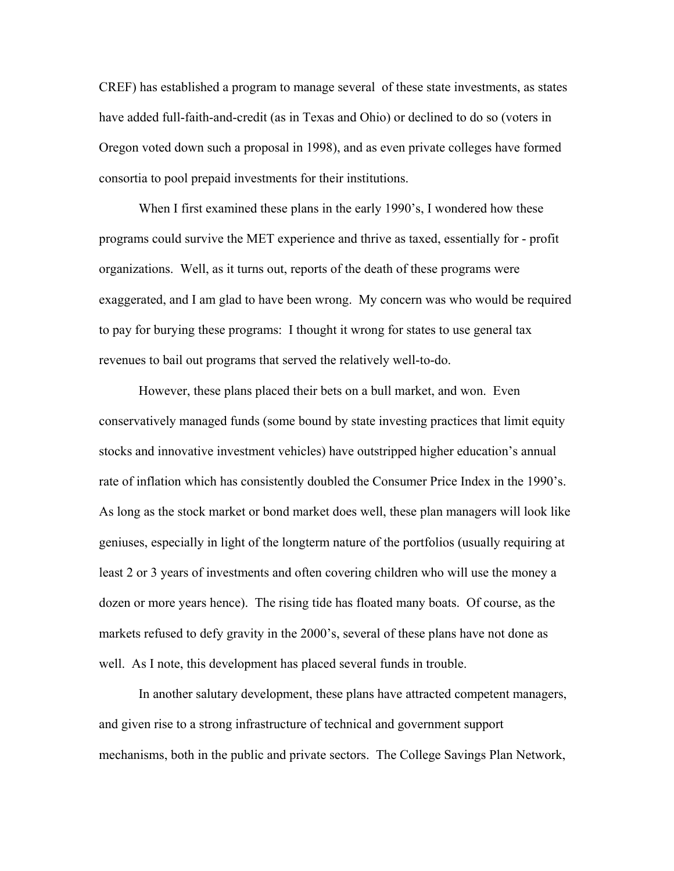CREF) has established a program to manage several of these state investments, as states have added full-faith-and-credit (as in Texas and Ohio) or declined to do so (voters in Oregon voted down such a proposal in 1998), and as even private colleges have formed consortia to pool prepaid investments for their institutions.

When I first examined these plans in the early 1990's, I wondered how these programs could survive the MET experience and thrive as taxed, essentially for - profit organizations. Well, as it turns out, reports of the death of these programs were exaggerated, and I am glad to have been wrong. My concern was who would be required to pay for burying these programs: I thought it wrong for states to use general tax revenues to bail out programs that served the relatively well-to-do.

However, these plans placed their bets on a bull market, and won. Even conservatively managed funds (some bound by state investing practices that limit equity stocks and innovative investment vehicles) have outstripped higher education's annual rate of inflation which has consistently doubled the Consumer Price Index in the 1990's. As long as the stock market or bond market does well, these plan managers will look like geniuses, especially in light of the longterm nature of the portfolios (usually requiring at least 2 or 3 years of investments and often covering children who will use the money a dozen or more years hence). The rising tide has floated many boats. Of course, as the markets refused to defy gravity in the 2000's, several of these plans have not done as well. As I note, this development has placed several funds in trouble.

In another salutary development, these plans have attracted competent managers, and given rise to a strong infrastructure of technical and government support mechanisms, both in the public and private sectors. The College Savings Plan Network,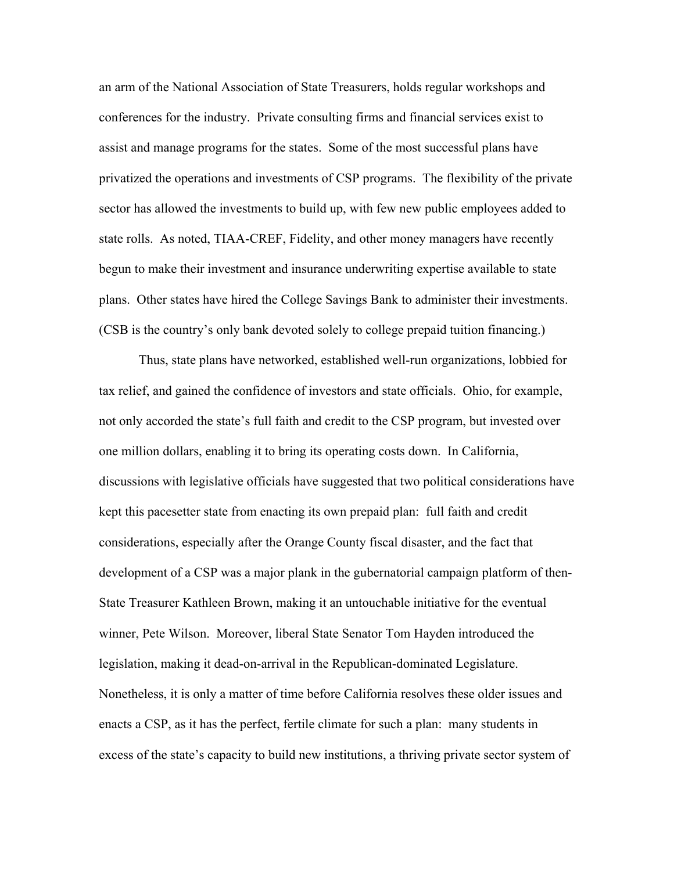an arm of the National Association of State Treasurers, holds regular workshops and conferences for the industry. Private consulting firms and financial services exist to assist and manage programs for the states. Some of the most successful plans have privatized the operations and investments of CSP programs. The flexibility of the private sector has allowed the investments to build up, with few new public employees added to state rolls. As noted, TIAA-CREF, Fidelity, and other money managers have recently begun to make their investment and insurance underwriting expertise available to state plans. Other states have hired the College Savings Bank to administer their investments. (CSB is the country's only bank devoted solely to college prepaid tuition financing.)

Thus, state plans have networked, established well-run organizations, lobbied for tax relief, and gained the confidence of investors and state officials. Ohio, for example, not only accorded the state's full faith and credit to the CSP program, but invested over one million dollars, enabling it to bring its operating costs down. In California, discussions with legislative officials have suggested that two political considerations have kept this pacesetter state from enacting its own prepaid plan: full faith and credit considerations, especially after the Orange County fiscal disaster, and the fact that development of a CSP was a major plank in the gubernatorial campaign platform of then-State Treasurer Kathleen Brown, making it an untouchable initiative for the eventual winner, Pete Wilson. Moreover, liberal State Senator Tom Hayden introduced the legislation, making it dead-on-arrival in the Republican-dominated Legislature. Nonetheless, it is only a matter of time before California resolves these older issues and enacts a CSP, as it has the perfect, fertile climate for such a plan: many students in excess of the state's capacity to build new institutions, a thriving private sector system of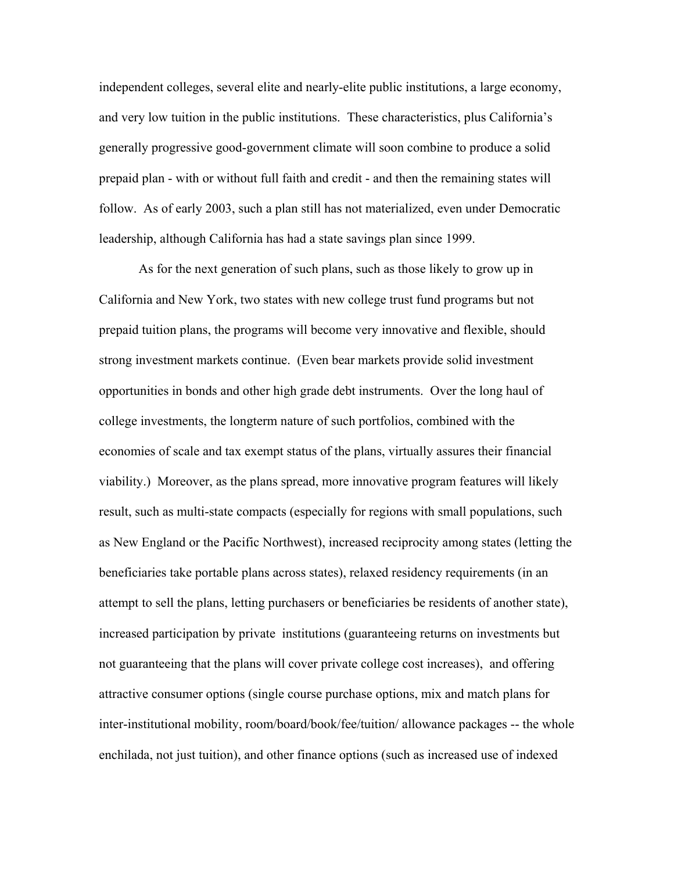independent colleges, several elite and nearly-elite public institutions, a large economy, and very low tuition in the public institutions. These characteristics, plus California's generally progressive good-government climate will soon combine to produce a solid prepaid plan - with or without full faith and credit - and then the remaining states will follow. As of early 2003, such a plan still has not materialized, even under Democratic leadership, although California has had a state savings plan since 1999.

As for the next generation of such plans, such as those likely to grow up in California and New York, two states with new college trust fund programs but not prepaid tuition plans, the programs will become very innovative and flexible, should strong investment markets continue. (Even bear markets provide solid investment opportunities in bonds and other high grade debt instruments. Over the long haul of college investments, the longterm nature of such portfolios, combined with the economies of scale and tax exempt status of the plans, virtually assures their financial viability.) Moreover, as the plans spread, more innovative program features will likely result, such as multi-state compacts (especially for regions with small populations, such as New England or the Pacific Northwest), increased reciprocity among states (letting the beneficiaries take portable plans across states), relaxed residency requirements (in an attempt to sell the plans, letting purchasers or beneficiaries be residents of another state), increased participation by private institutions (guaranteeing returns on investments but not guaranteeing that the plans will cover private college cost increases), and offering attractive consumer options (single course purchase options, mix and match plans for inter-institutional mobility, room/board/book/fee/tuition/ allowance packages -- the whole enchilada, not just tuition), and other finance options (such as increased use of indexed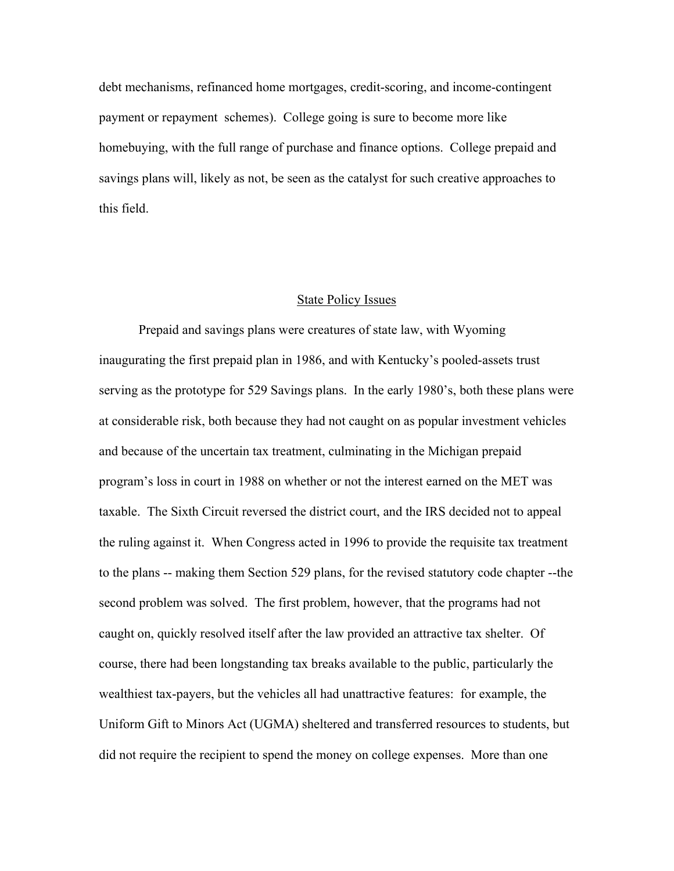debt mechanisms, refinanced home mortgages, credit-scoring, and income-contingent payment or repayment schemes). College going is sure to become more like homebuying, with the full range of purchase and finance options. College prepaid and savings plans will, likely as not, be seen as the catalyst for such creative approaches to this field.

### State Policy Issues

Prepaid and savings plans were creatures of state law, with Wyoming inaugurating the first prepaid plan in 1986, and with Kentucky's pooled-assets trust serving as the prototype for 529 Savings plans. In the early 1980's, both these plans were at considerable risk, both because they had not caught on as popular investment vehicles and because of the uncertain tax treatment, culminating in the Michigan prepaid program's loss in court in 1988 on whether or not the interest earned on the MET was taxable. The Sixth Circuit reversed the district court, and the IRS decided not to appeal the ruling against it. When Congress acted in 1996 to provide the requisite tax treatment to the plans -- making them Section 529 plans, for the revised statutory code chapter --the second problem was solved. The first problem, however, that the programs had not caught on, quickly resolved itself after the law provided an attractive tax shelter. Of course, there had been longstanding tax breaks available to the public, particularly the wealthiest tax-payers, but the vehicles all had unattractive features: for example, the Uniform Gift to Minors Act (UGMA) sheltered and transferred resources to students, but did not require the recipient to spend the money on college expenses. More than one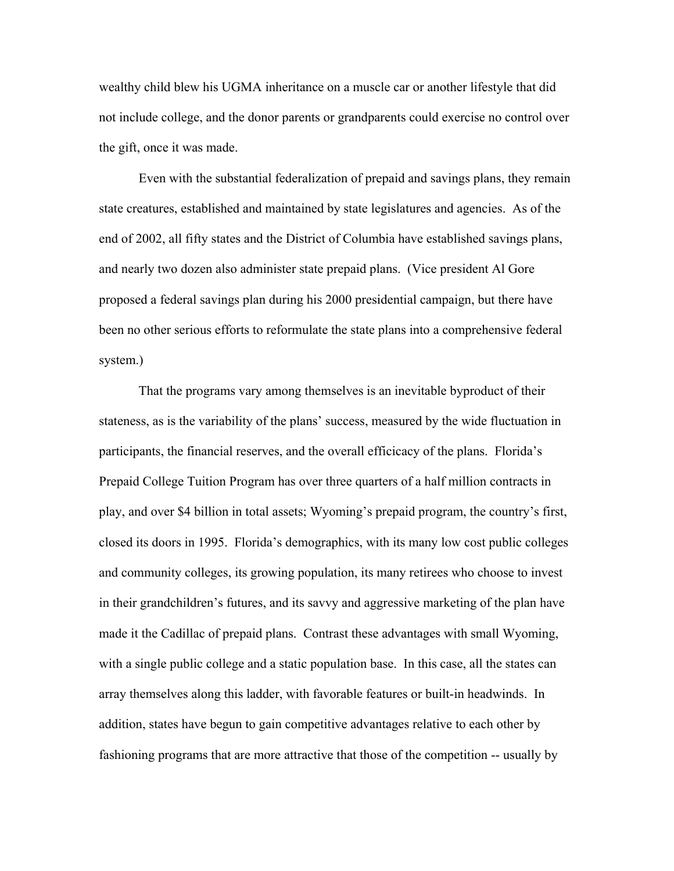wealthy child blew his UGMA inheritance on a muscle car or another lifestyle that did not include college, and the donor parents or grandparents could exercise no control over the gift, once it was made.

Even with the substantial federalization of prepaid and savings plans, they remain state creatures, established and maintained by state legislatures and agencies. As of the end of 2002, all fifty states and the District of Columbia have established savings plans, and nearly two dozen also administer state prepaid plans. (Vice president Al Gore proposed a federal savings plan during his 2000 presidential campaign, but there have been no other serious efforts to reformulate the state plans into a comprehensive federal system.)

That the programs vary among themselves is an inevitable byproduct of their stateness, as is the variability of the plans' success, measured by the wide fluctuation in participants, the financial reserves, and the overall efficicacy of the plans. Florida's Prepaid College Tuition Program has over three quarters of a half million contracts in play, and over \$4 billion in total assets; Wyoming's prepaid program, the country's first, closed its doors in 1995. Florida's demographics, with its many low cost public colleges and community colleges, its growing population, its many retirees who choose to invest in their grandchildren's futures, and its savvy and aggressive marketing of the plan have made it the Cadillac of prepaid plans. Contrast these advantages with small Wyoming, with a single public college and a static population base. In this case, all the states can array themselves along this ladder, with favorable features or built-in headwinds. In addition, states have begun to gain competitive advantages relative to each other by fashioning programs that are more attractive that those of the competition -- usually by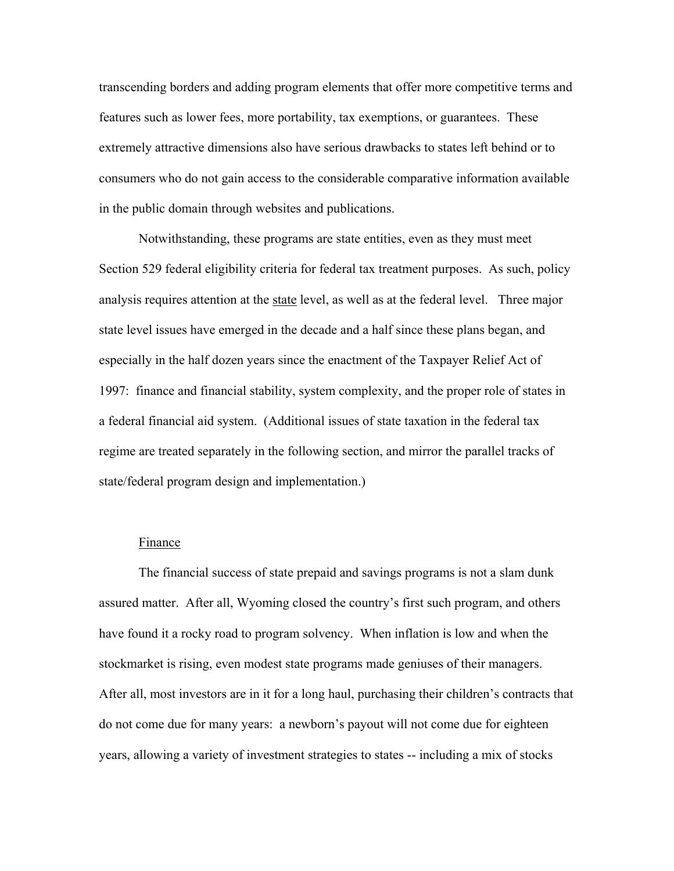transcending borders and adding program elements that offer more competitive terms and features such as lower fees, more portability, tax exemptions, or guarantees. These extremely attractive dimensions also have serious drawbacks to states left behind or to consumers who do not gain access to the considerable comparative information available in the public domain through websites and publications.

Notwithstanding, these programs are state entities, even as they must meet Section 529 federal eligibility criteria for federal tax treatment purposes. As such, policy analysis requires attention at the state level, as well as at the federal level. Three major state level issues have emerged in the decade and a half since these plans began, and especially in the half dozen years since the enactment of the Taxpayer Relief Act of 1997: finance and financial stability, system complexity, and the proper role of states in a federal financial aid system. (Additional issues of state taxation in the federal tax regime are treated separately in the following section, and mirror the parallel tracks of state/federal program design and implementation.)

### Finance

The financial success of state prepaid and savings programs is not a slam dunk assured matter. After all, Wyoming closed the country's first such program, and others have found it a rocky road to program solvency. When inflation is low and when the stockmarket is rising, even modest state programs made geniuses of their managers. After all, most investors are in it for a long haul, purchasing their children's contracts that do not come due for many years: a newborn's payout will not come due for eighteen years, allowing a variety of investment strategies to states -- including a mix of stocks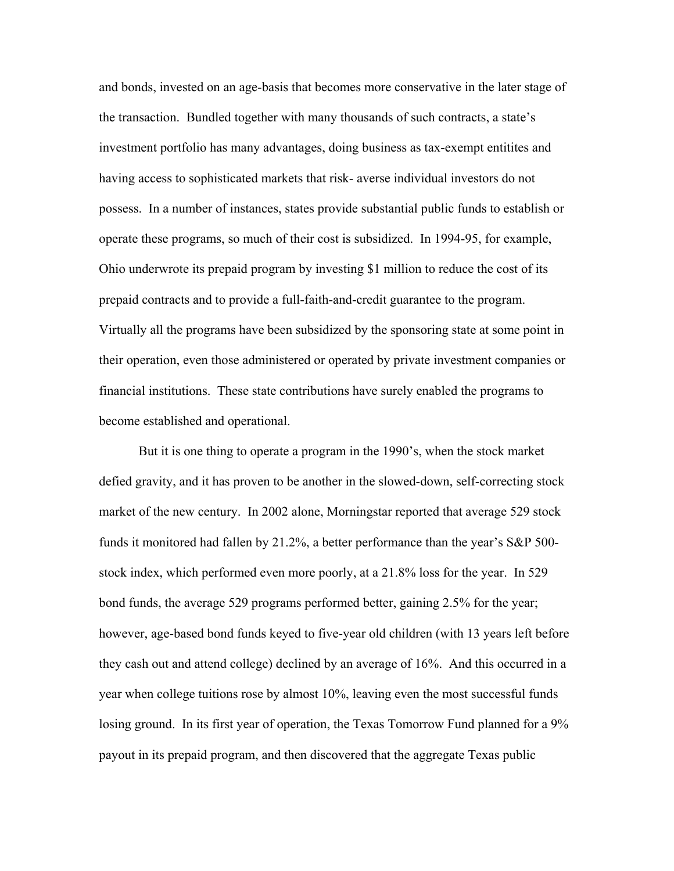and bonds, invested on an age-basis that becomes more conservative in the later stage of the transaction. Bundled together with many thousands of such contracts, a state's investment portfolio has many advantages, doing business as tax-exempt entitites and having access to sophisticated markets that risk- averse individual investors do not possess. In a number of instances, states provide substantial public funds to establish or operate these programs, so much of their cost is subsidized. In 1994-95, for example, Ohio underwrote its prepaid program by investing \$1 million to reduce the cost of its prepaid contracts and to provide a full-faith-and-credit guarantee to the program. Virtually all the programs have been subsidized by the sponsoring state at some point in their operation, even those administered or operated by private investment companies or financial institutions. These state contributions have surely enabled the programs to become established and operational.

But it is one thing to operate a program in the 1990's, when the stock market defied gravity, and it has proven to be another in the slowed-down, self-correcting stock market of the new century. In 2002 alone, Morningstar reported that average 529 stock funds it monitored had fallen by 21.2%, a better performance than the year's S&P 500 stock index, which performed even more poorly, at a 21.8% loss for the year. In 529 bond funds, the average 529 programs performed better, gaining 2.5% for the year; however, age-based bond funds keyed to five-year old children (with 13 years left before they cash out and attend college) declined by an average of 16%. And this occurred in a year when college tuitions rose by almost 10%, leaving even the most successful funds losing ground. In its first year of operation, the Texas Tomorrow Fund planned for a 9% payout in its prepaid program, and then discovered that the aggregate Texas public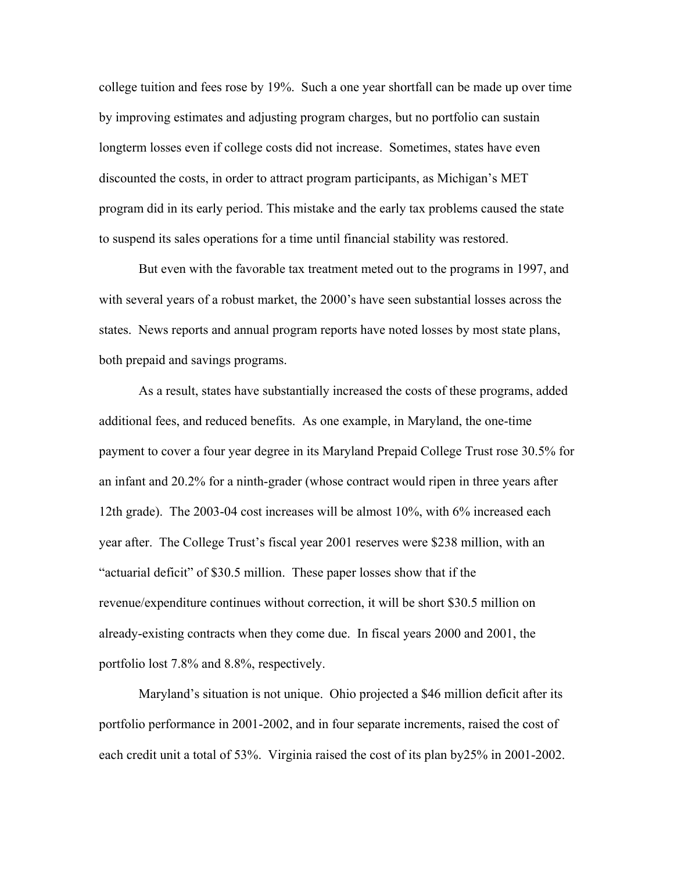college tuition and fees rose by 19%. Such a one year shortfall can be made up over time by improving estimates and adjusting program charges, but no portfolio can sustain longterm losses even if college costs did not increase. Sometimes, states have even discounted the costs, in order to attract program participants, as Michigan's MET program did in its early period. This mistake and the early tax problems caused the state to suspend its sales operations for a time until financial stability was restored.

But even with the favorable tax treatment meted out to the programs in 1997, and with several years of a robust market, the 2000's have seen substantial losses across the states. News reports and annual program reports have noted losses by most state plans, both prepaid and savings programs.

As a result, states have substantially increased the costs of these programs, added additional fees, and reduced benefits. As one example, in Maryland, the one-time payment to cover a four year degree in its Maryland Prepaid College Trust rose 30.5% for an infant and 20.2% for a ninth-grader (whose contract would ripen in three years after 12th grade). The 2003-04 cost increases will be almost 10%, with 6% increased each year after. The College Trust's fiscal year 2001 reserves were \$238 million, with an "actuarial deficit" of \$30.5 million. These paper losses show that if the revenue/expenditure continues without correction, it will be short \$30.5 million on already-existing contracts when they come due. In fiscal years 2000 and 2001, the portfolio lost 7.8% and 8.8%, respectively.

Maryland's situation is not unique. Ohio projected a \$46 million deficit after its portfolio performance in 2001-2002, and in four separate increments, raised the cost of each credit unit a total of 53%. Virginia raised the cost of its plan by25% in 2001-2002.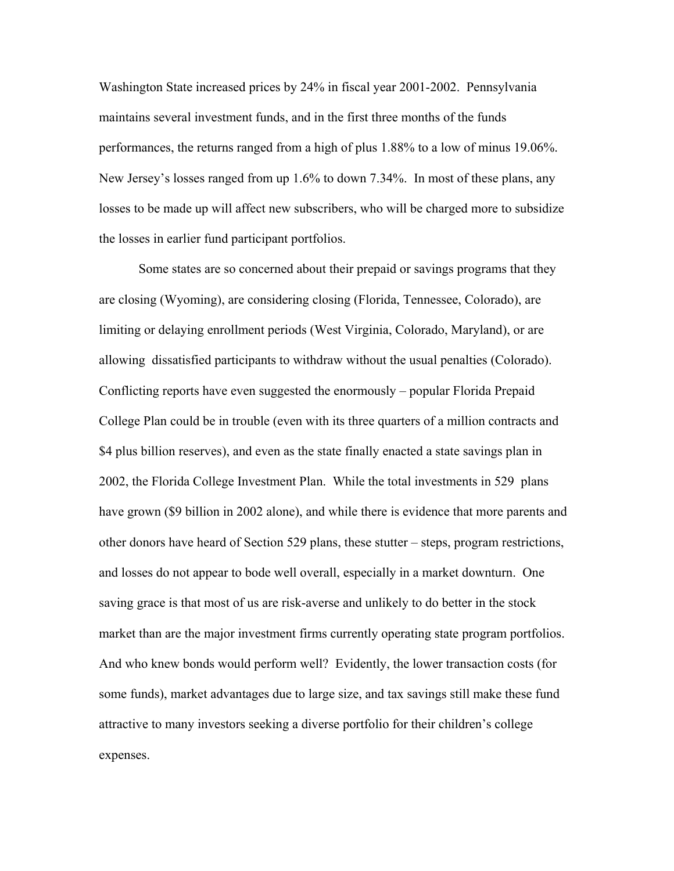Washington State increased prices by 24% in fiscal year 2001-2002. Pennsylvania maintains several investment funds, and in the first three months of the funds performances, the returns ranged from a high of plus 1.88% to a low of minus 19.06%. New Jersey's losses ranged from up 1.6% to down 7.34%. In most of these plans, any losses to be made up will affect new subscribers, who will be charged more to subsidize the losses in earlier fund participant portfolios.

Some states are so concerned about their prepaid or savings programs that they are closing (Wyoming), are considering closing (Florida, Tennessee, Colorado), are limiting or delaying enrollment periods (West Virginia, Colorado, Maryland), or are allowing dissatisfied participants to withdraw without the usual penalties (Colorado). Conflicting reports have even suggested the enormously – popular Florida Prepaid College Plan could be in trouble (even with its three quarters of a million contracts and \$4 plus billion reserves), and even as the state finally enacted a state savings plan in 2002, the Florida College Investment Plan. While the total investments in 529 plans have grown (\$9 billion in 2002 alone), and while there is evidence that more parents and other donors have heard of Section 529 plans, these stutter – steps, program restrictions, and losses do not appear to bode well overall, especially in a market downturn. One saving grace is that most of us are risk-averse and unlikely to do better in the stock market than are the major investment firms currently operating state program portfolios. And who knew bonds would perform well? Evidently, the lower transaction costs (for some funds), market advantages due to large size, and tax savings still make these fund attractive to many investors seeking a diverse portfolio for their children's college expenses.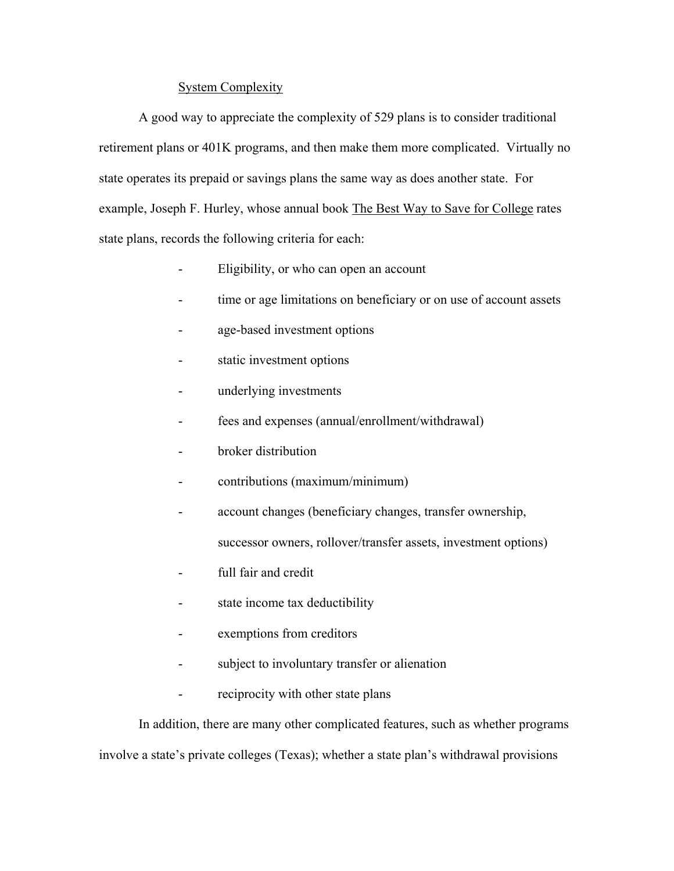### System Complexity

 A good way to appreciate the complexity of 529 plans is to consider traditional retirement plans or 401K programs, and then make them more complicated. Virtually no state operates its prepaid or savings plans the same way as does another state. For example, Joseph F. Hurley, whose annual book The Best Way to Save for College rates state plans, records the following criteria for each:

- Eligibility, or who can open an account
- time or age limitations on beneficiary or on use of account assets
- age-based investment options
- static investment options
- underlying investments
- fees and expenses (annual/enrollment/withdrawal)
- broker distribution
- contributions (maximum/minimum)
- account changes (beneficiary changes, transfer ownership,

successor owners, rollover/transfer assets, investment options)

- full fair and credit
- state income tax deductibility
- exemptions from creditors
- subject to involuntary transfer or alienation
- reciprocity with other state plans

 In addition, there are many other complicated features, such as whether programs involve a state's private colleges (Texas); whether a state plan's withdrawal provisions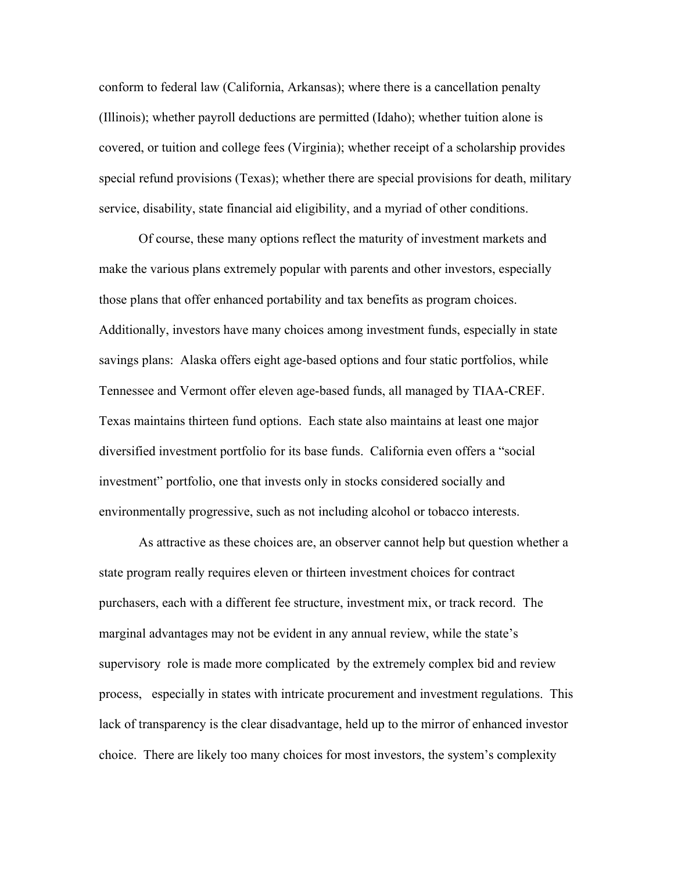conform to federal law (California, Arkansas); where there is a cancellation penalty (Illinois); whether payroll deductions are permitted (Idaho); whether tuition alone is covered, or tuition and college fees (Virginia); whether receipt of a scholarship provides special refund provisions (Texas); whether there are special provisions for death, military service, disability, state financial aid eligibility, and a myriad of other conditions.

Of course, these many options reflect the maturity of investment markets and make the various plans extremely popular with parents and other investors, especially those plans that offer enhanced portability and tax benefits as program choices. Additionally, investors have many choices among investment funds, especially in state savings plans: Alaska offers eight age-based options and four static portfolios, while Tennessee and Vermont offer eleven age-based funds, all managed by TIAA-CREF. Texas maintains thirteen fund options. Each state also maintains at least one major diversified investment portfolio for its base funds. California even offers a "social investment" portfolio, one that invests only in stocks considered socially and environmentally progressive, such as not including alcohol or tobacco interests.

As attractive as these choices are, an observer cannot help but question whether a state program really requires eleven or thirteen investment choices for contract purchasers, each with a different fee structure, investment mix, or track record. The marginal advantages may not be evident in any annual review, while the state's supervisory role is made more complicated by the extremely complex bid and review process, especially in states with intricate procurement and investment regulations. This lack of transparency is the clear disadvantage, held up to the mirror of enhanced investor choice. There are likely too many choices for most investors, the system's complexity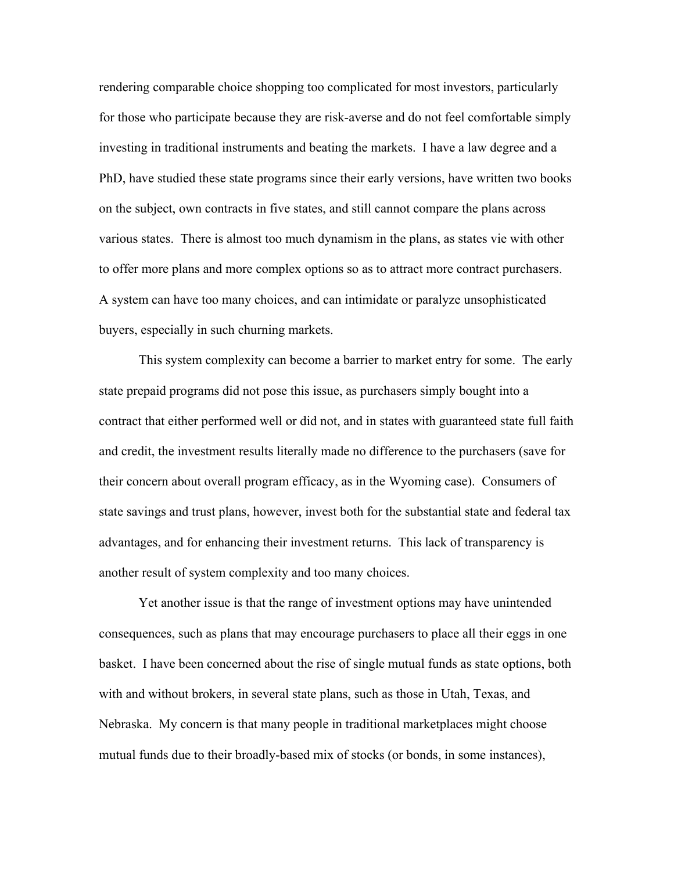rendering comparable choice shopping too complicated for most investors, particularly for those who participate because they are risk-averse and do not feel comfortable simply investing in traditional instruments and beating the markets. I have a law degree and a PhD, have studied these state programs since their early versions, have written two books on the subject, own contracts in five states, and still cannot compare the plans across various states. There is almost too much dynamism in the plans, as states vie with other to offer more plans and more complex options so as to attract more contract purchasers. A system can have too many choices, and can intimidate or paralyze unsophisticated buyers, especially in such churning markets.

This system complexity can become a barrier to market entry for some. The early state prepaid programs did not pose this issue, as purchasers simply bought into a contract that either performed well or did not, and in states with guaranteed state full faith and credit, the investment results literally made no difference to the purchasers (save for their concern about overall program efficacy, as in the Wyoming case). Consumers of state savings and trust plans, however, invest both for the substantial state and federal tax advantages, and for enhancing their investment returns. This lack of transparency is another result of system complexity and too many choices.

Yet another issue is that the range of investment options may have unintended consequences, such as plans that may encourage purchasers to place all their eggs in one basket. I have been concerned about the rise of single mutual funds as state options, both with and without brokers, in several state plans, such as those in Utah, Texas, and Nebraska. My concern is that many people in traditional marketplaces might choose mutual funds due to their broadly-based mix of stocks (or bonds, in some instances),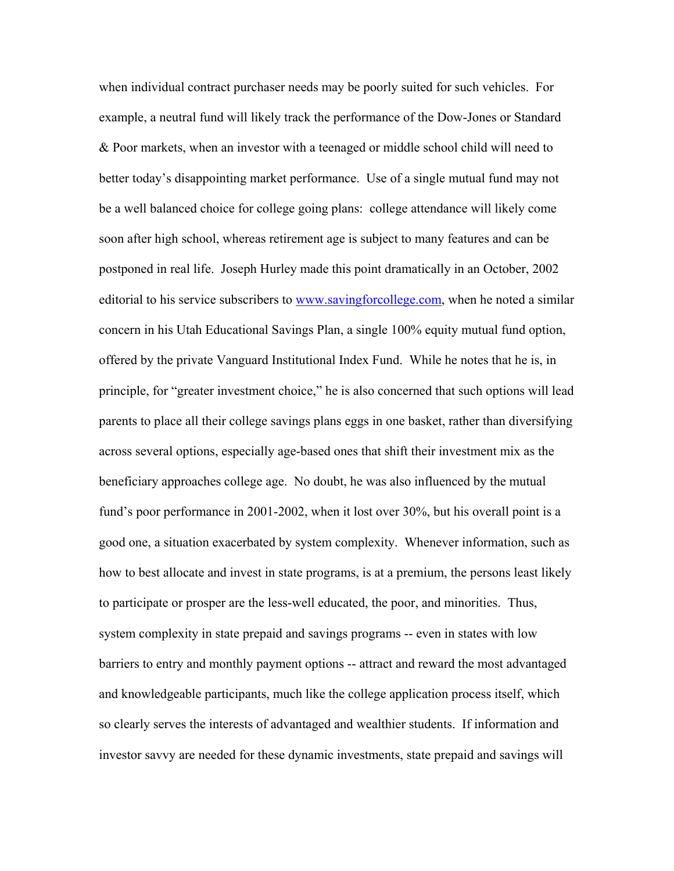when individual contract purchaser needs may be poorly suited for such vehicles. For example, a neutral fund will likely track the performance of the Dow-Jones or Standard & Poor markets, when an investor with a teenaged or middle school child will need to better today's disappointing market performance. Use of a single mutual fund may not be a well balanced choice for college going plans: college attendance will likely come soon after high school, whereas retirement age is subject to many features and can be postponed in real life. Joseph Hurley made this point dramatically in an October, 2002 editorial to his service subscribers to [www.savingforcollege.com](http://www.savingforcollege.com/), when he noted a similar concern in his Utah Educational Savings Plan, a single 100% equity mutual fund option, offered by the private Vanguard Institutional Index Fund. While he notes that he is, in principle, for "greater investment choice," he is also concerned that such options will lead parents to place all their college savings plans eggs in one basket, rather than diversifying across several options, especially age-based ones that shift their investment mix as the beneficiary approaches college age. No doubt, he was also influenced by the mutual fund's poor performance in 2001-2002, when it lost over 30%, but his overall point is a good one, a situation exacerbated by system complexity. Whenever information, such as how to best allocate and invest in state programs, is at a premium, the persons least likely to participate or prosper are the less-well educated, the poor, and minorities. Thus, system complexity in state prepaid and savings programs -- even in states with low barriers to entry and monthly payment options -- attract and reward the most advantaged and knowledgeable participants, much like the college application process itself, which so clearly serves the interests of advantaged and wealthier students. If information and investor savvy are needed for these dynamic investments, state prepaid and savings will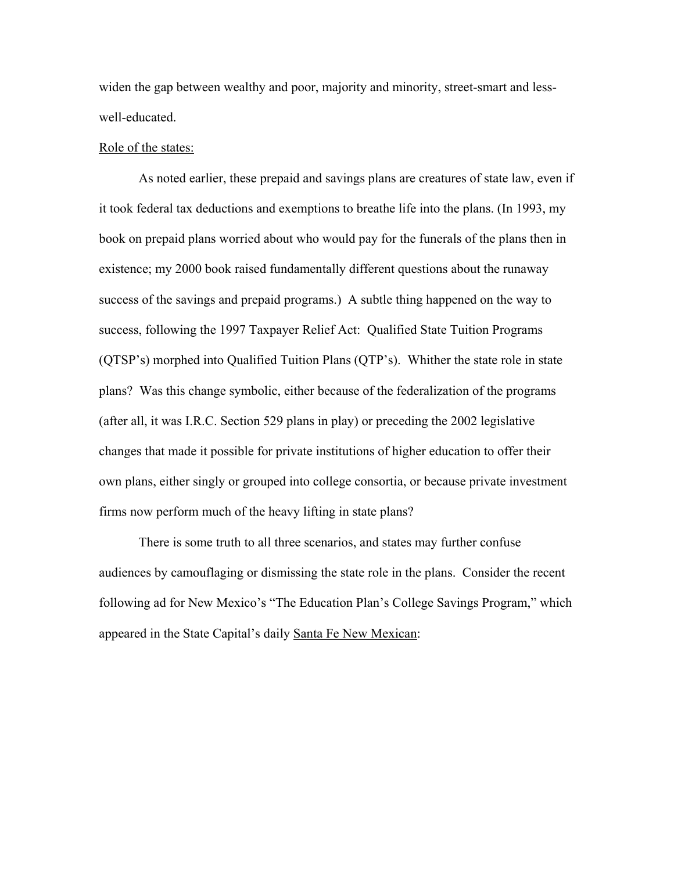widen the gap between wealthy and poor, majority and minority, street-smart and lesswell-educated.

### Role of the states:

 As noted earlier, these prepaid and savings plans are creatures of state law, even if it took federal tax deductions and exemptions to breathe life into the plans. (In 1993, my book on prepaid plans worried about who would pay for the funerals of the plans then in existence; my 2000 book raised fundamentally different questions about the runaway success of the savings and prepaid programs.) A subtle thing happened on the way to success, following the 1997 Taxpayer Relief Act: Qualified State Tuition Programs (QTSP's) morphed into Qualified Tuition Plans (QTP's). Whither the state role in state plans? Was this change symbolic, either because of the federalization of the programs (after all, it was I.R.C. Section 529 plans in play) or preceding the 2002 legislative changes that made it possible for private institutions of higher education to offer their own plans, either singly or grouped into college consortia, or because private investment firms now perform much of the heavy lifting in state plans?

 There is some truth to all three scenarios, and states may further confuse audiences by camouflaging or dismissing the state role in the plans. Consider the recent following ad for New Mexico's "The Education Plan's College Savings Program," which appeared in the State Capital's daily Santa Fe New Mexican: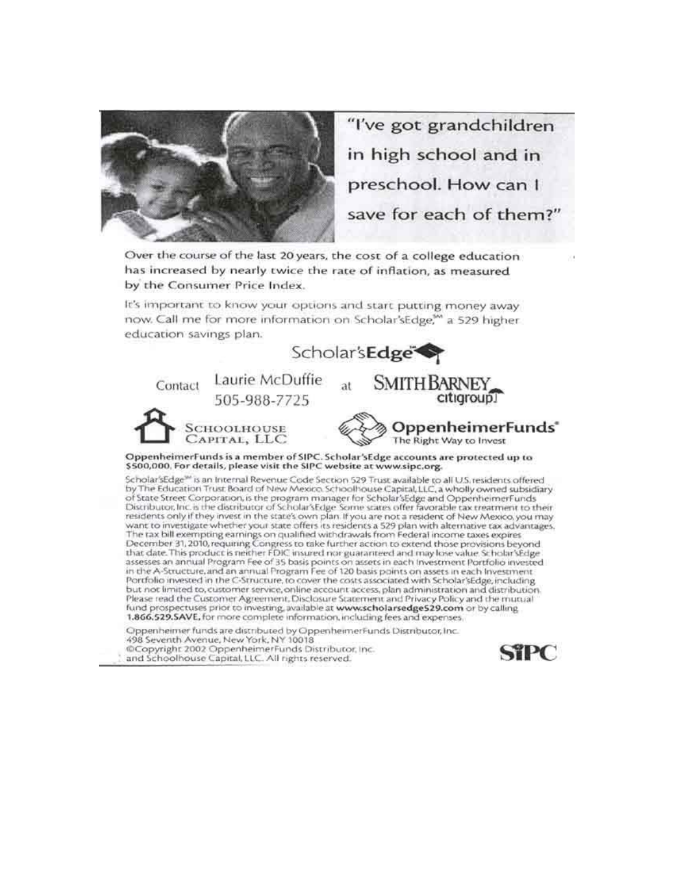

# "I've got grandchildren in high school and in preschool. How can I save for each of them?"

Over the course of the last 20 years, the cost of a college education has increased by nearly twice the rate of inflation, as measured by the Consumer Price Index.

It's important to know your options and start putting money away now. Call me for more information on Scholar'sEdge," a 529 higher education savings plan.



by The Education Trust Board of New Mexico. Schoolhouse Capital, LLC, a wholly owned subsidiary<br>of State Street Corporation, is the program manager for Scholar's Edge and Oppenheimer Funds Discributor, Inc. is the distributor of Scholar's Edge Some states offer favorable tax treatment to their residents only if they invest in the state's own plan. If you are not a resident of New Mexico, you may want to investigate whether your state offers its residents a 529 plan with alternative tax advantages. The tax bill exempting earnings on qualified withdrawals from Federal income taxes expires December 31, 2010, requiring Congress to take further action to extend those provisions beyond<br>that date. This product is neither FDIC insured nor guaranteed and may lose value. St holar sedge<br>assesses an annual Program Fe Portfolio invested in the C-Structure, to cover the costs associated with Scholar'sEdge, including but not limited to, customer service, online account access, plan administration and distribution. Please read the Customer Agreement, Disclosure Statement and Privacy Policy and the mutual fund prospectuses priot to investing, available at www.scholarsedge529.com or by calling 1.866.529.SAVE, for more complete information, including fees and expenses.

Oppenheimer funds are distributed by OppenheimerFunds Distributor, Inc.

498 Seventh Avenue, New York, NY 10018 @Copyright 2002 OppenheimerFunds Distributor. Inc. and Schoolhouse Capital, LLC. All rights reserved.

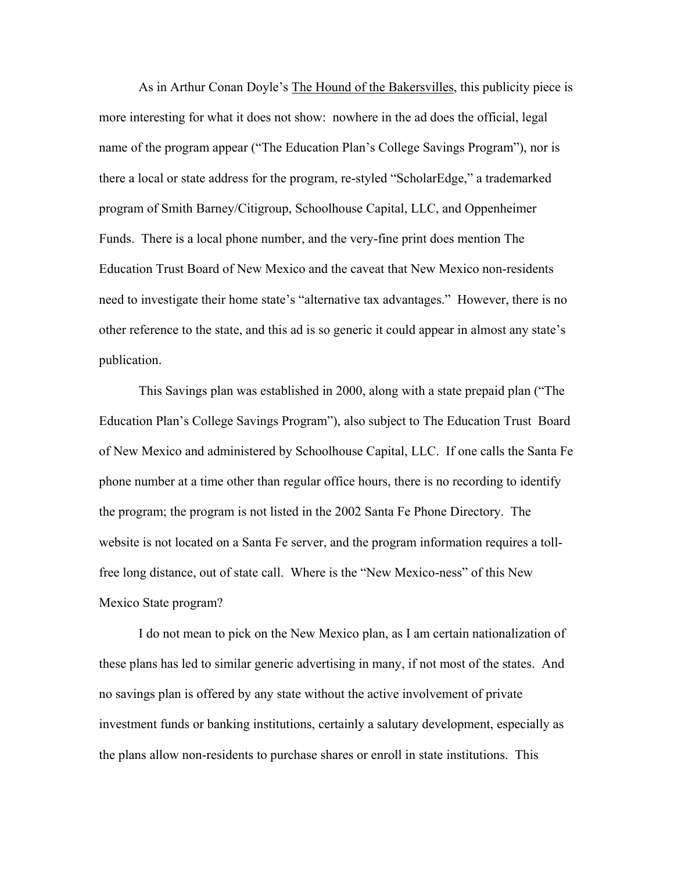As in Arthur Conan Doyle's The Hound of the Bakersvilles, this publicity piece is more interesting for what it does not show: nowhere in the ad does the official, legal name of the program appear ("The Education Plan's College Savings Program"), nor is there a local or state address for the program, re-styled "ScholarEdge," a trademarked program of Smith Barney/Citigroup, Schoolhouse Capital, LLC, and Oppenheimer Funds. There is a local phone number, and the very-fine print does mention The Education Trust Board of New Mexico and the caveat that New Mexico non-residents need to investigate their home state's "alternative tax advantages." However, there is no other reference to the state, and this ad is so generic it could appear in almost any state's publication.

 This Savings plan was established in 2000, along with a state prepaid plan ("The Education Plan's College Savings Program"), also subject to The Education Trust Board of New Mexico and administered by Schoolhouse Capital, LLC. If one calls the Santa Fe phone number at a time other than regular office hours, there is no recording to identify the program; the program is not listed in the 2002 Santa Fe Phone Directory. The website is not located on a Santa Fe server, and the program information requires a tollfree long distance, out of state call. Where is the "New Mexico-ness" of this New Mexico State program?

 I do not mean to pick on the New Mexico plan, as I am certain nationalization of these plans has led to similar generic advertising in many, if not most of the states. And no savings plan is offered by any state without the active involvement of private investment funds or banking institutions, certainly a salutary development, especially as the plans allow non-residents to purchase shares or enroll in state institutions. This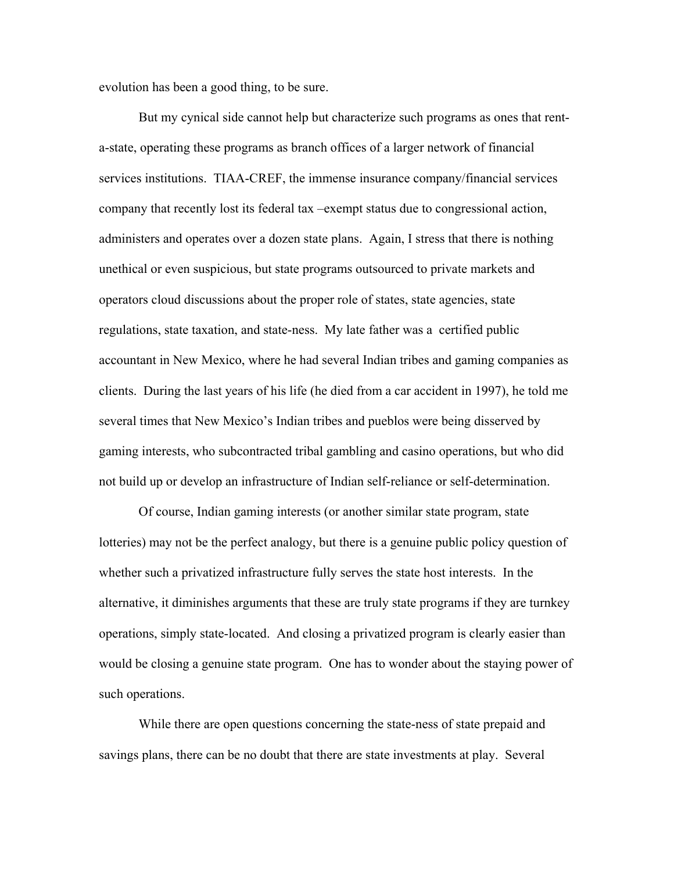evolution has been a good thing, to be sure.

 But my cynical side cannot help but characterize such programs as ones that renta-state, operating these programs as branch offices of a larger network of financial services institutions. TIAA-CREF, the immense insurance company/financial services company that recently lost its federal tax –exempt status due to congressional action, administers and operates over a dozen state plans. Again, I stress that there is nothing unethical or even suspicious, but state programs outsourced to private markets and operators cloud discussions about the proper role of states, state agencies, state regulations, state taxation, and state-ness. My late father was a certified public accountant in New Mexico, where he had several Indian tribes and gaming companies as clients. During the last years of his life (he died from a car accident in 1997), he told me several times that New Mexico's Indian tribes and pueblos were being disserved by gaming interests, who subcontracted tribal gambling and casino operations, but who did not build up or develop an infrastructure of Indian self-reliance or self-determination.

 Of course, Indian gaming interests (or another similar state program, state lotteries) may not be the perfect analogy, but there is a genuine public policy question of whether such a privatized infrastructure fully serves the state host interests. In the alternative, it diminishes arguments that these are truly state programs if they are turnkey operations, simply state-located. And closing a privatized program is clearly easier than would be closing a genuine state program. One has to wonder about the staying power of such operations.

 While there are open questions concerning the state-ness of state prepaid and savings plans, there can be no doubt that there are state investments at play. Several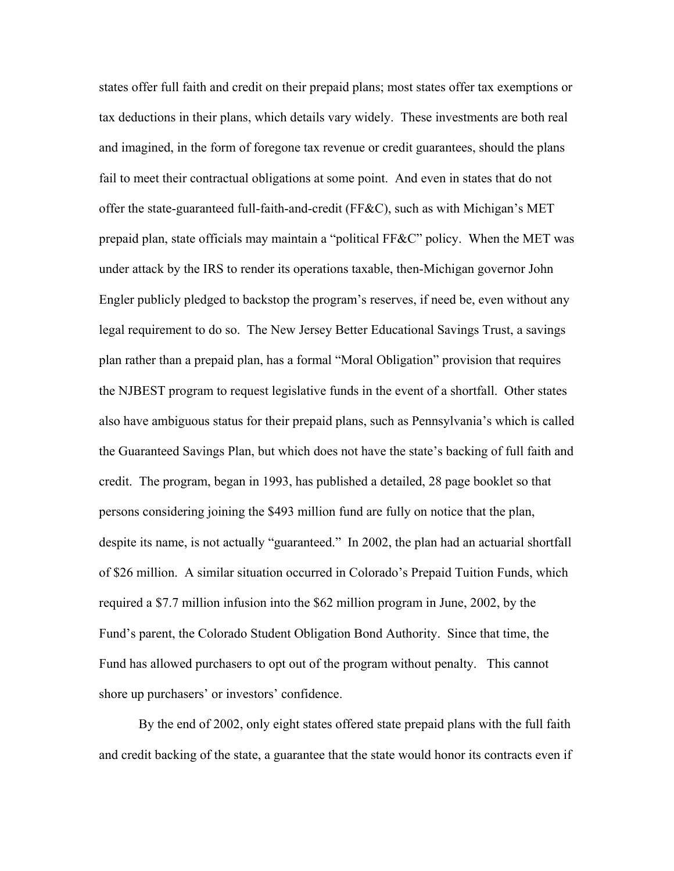states offer full faith and credit on their prepaid plans; most states offer tax exemptions or tax deductions in their plans, which details vary widely. These investments are both real and imagined, in the form of foregone tax revenue or credit guarantees, should the plans fail to meet their contractual obligations at some point. And even in states that do not offer the state-guaranteed full-faith-and-credit (FF&C), such as with Michigan's MET prepaid plan, state officials may maintain a "political FF&C" policy. When the MET was under attack by the IRS to render its operations taxable, then-Michigan governor John Engler publicly pledged to backstop the program's reserves, if need be, even without any legal requirement to do so. The New Jersey Better Educational Savings Trust, a savings plan rather than a prepaid plan, has a formal "Moral Obligation" provision that requires the NJBEST program to request legislative funds in the event of a shortfall. Other states also have ambiguous status for their prepaid plans, such as Pennsylvania's which is called the Guaranteed Savings Plan, but which does not have the state's backing of full faith and credit. The program, began in 1993, has published a detailed, 28 page booklet so that persons considering joining the \$493 million fund are fully on notice that the plan, despite its name, is not actually "guaranteed." In 2002, the plan had an actuarial shortfall of \$26 million. A similar situation occurred in Colorado's Prepaid Tuition Funds, which required a \$7.7 million infusion into the \$62 million program in June, 2002, by the Fund's parent, the Colorado Student Obligation Bond Authority. Since that time, the Fund has allowed purchasers to opt out of the program without penalty. This cannot shore up purchasers' or investors' confidence.

 By the end of 2002, only eight states offered state prepaid plans with the full faith and credit backing of the state, a guarantee that the state would honor its contracts even if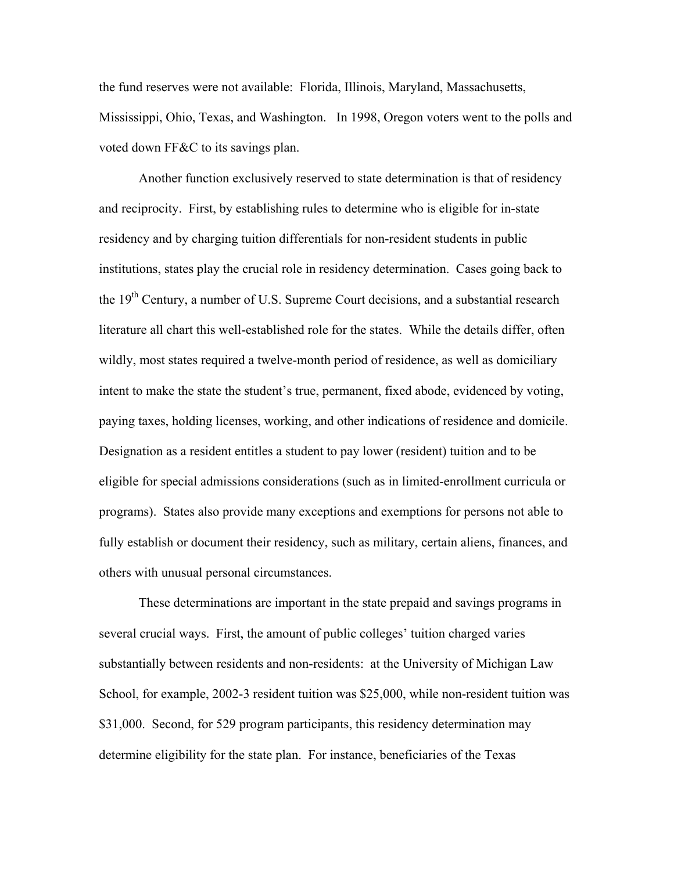the fund reserves were not available: Florida, Illinois, Maryland, Massachusetts, Mississippi, Ohio, Texas, and Washington. In 1998, Oregon voters went to the polls and voted down FF&C to its savings plan.

 Another function exclusively reserved to state determination is that of residency and reciprocity. First, by establishing rules to determine who is eligible for in-state residency and by charging tuition differentials for non-resident students in public institutions, states play the crucial role in residency determination. Cases going back to the 19<sup>th</sup> Century, a number of U.S. Supreme Court decisions, and a substantial research literature all chart this well-established role for the states. While the details differ, often wildly, most states required a twelve-month period of residence, as well as domiciliary intent to make the state the student's true, permanent, fixed abode, evidenced by voting, paying taxes, holding licenses, working, and other indications of residence and domicile. Designation as a resident entitles a student to pay lower (resident) tuition and to be eligible for special admissions considerations (such as in limited-enrollment curricula or programs). States also provide many exceptions and exemptions for persons not able to fully establish or document their residency, such as military, certain aliens, finances, and others with unusual personal circumstances.

 These determinations are important in the state prepaid and savings programs in several crucial ways. First, the amount of public colleges' tuition charged varies substantially between residents and non-residents: at the University of Michigan Law School, for example, 2002-3 resident tuition was \$25,000, while non-resident tuition was \$31,000. Second, for 529 program participants, this residency determination may determine eligibility for the state plan. For instance, beneficiaries of the Texas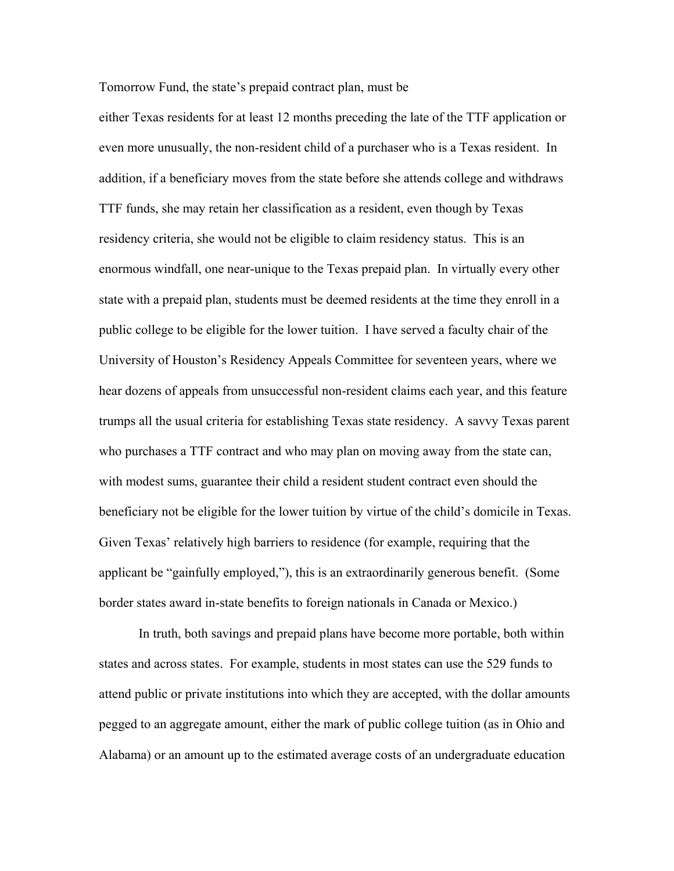Tomorrow Fund, the state's prepaid contract plan, must be

either Texas residents for at least 12 months preceding the late of the TTF application or even more unusually, the non-resident child of a purchaser who is a Texas resident. In addition, if a beneficiary moves from the state before she attends college and withdraws TTF funds, she may retain her classification as a resident, even though by Texas residency criteria, she would not be eligible to claim residency status. This is an enormous windfall, one near-unique to the Texas prepaid plan. In virtually every other state with a prepaid plan, students must be deemed residents at the time they enroll in a public college to be eligible for the lower tuition. I have served a faculty chair of the University of Houston's Residency Appeals Committee for seventeen years, where we hear dozens of appeals from unsuccessful non-resident claims each year, and this feature trumps all the usual criteria for establishing Texas state residency. A savvy Texas parent who purchases a TTF contract and who may plan on moving away from the state can, with modest sums, guarantee their child a resident student contract even should the beneficiary not be eligible for the lower tuition by virtue of the child's domicile in Texas. Given Texas' relatively high barriers to residence (for example, requiring that the applicant be "gainfully employed,"), this is an extraordinarily generous benefit. (Some border states award in-state benefits to foreign nationals in Canada or Mexico.)

 In truth, both savings and prepaid plans have become more portable, both within states and across states. For example, students in most states can use the 529 funds to attend public or private institutions into which they are accepted, with the dollar amounts pegged to an aggregate amount, either the mark of public college tuition (as in Ohio and Alabama) or an amount up to the estimated average costs of an undergraduate education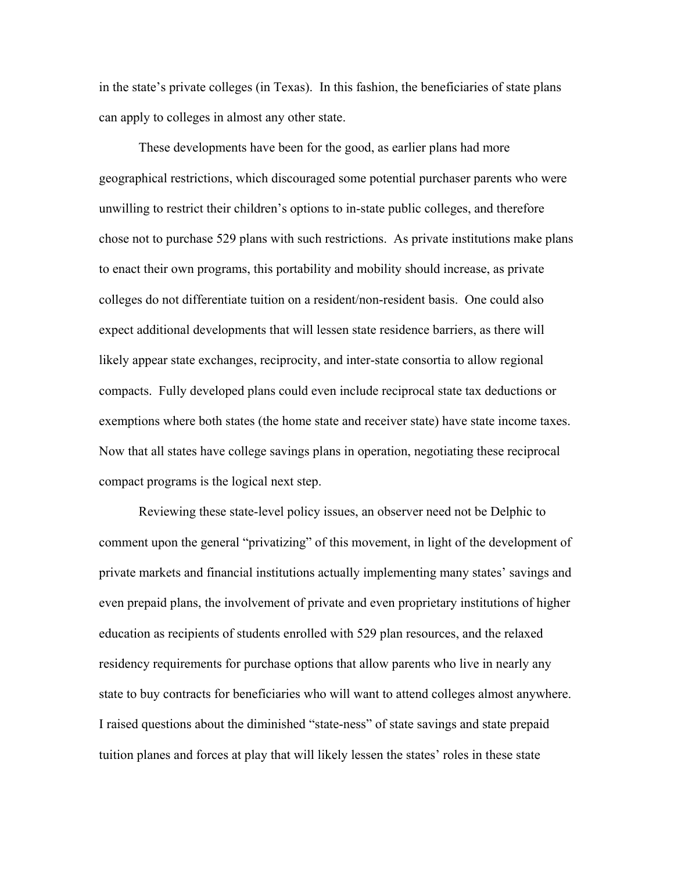in the state's private colleges (in Texas). In this fashion, the beneficiaries of state plans can apply to colleges in almost any other state.

 These developments have been for the good, as earlier plans had more geographical restrictions, which discouraged some potential purchaser parents who were unwilling to restrict their children's options to in-state public colleges, and therefore chose not to purchase 529 plans with such restrictions. As private institutions make plans to enact their own programs, this portability and mobility should increase, as private colleges do not differentiate tuition on a resident/non-resident basis. One could also expect additional developments that will lessen state residence barriers, as there will likely appear state exchanges, reciprocity, and inter-state consortia to allow regional compacts. Fully developed plans could even include reciprocal state tax deductions or exemptions where both states (the home state and receiver state) have state income taxes. Now that all states have college savings plans in operation, negotiating these reciprocal compact programs is the logical next step.

 Reviewing these state-level policy issues, an observer need not be Delphic to comment upon the general "privatizing" of this movement, in light of the development of private markets and financial institutions actually implementing many states' savings and even prepaid plans, the involvement of private and even proprietary institutions of higher education as recipients of students enrolled with 529 plan resources, and the relaxed residency requirements for purchase options that allow parents who live in nearly any state to buy contracts for beneficiaries who will want to attend colleges almost anywhere. I raised questions about the diminished "state-ness" of state savings and state prepaid tuition planes and forces at play that will likely lessen the states' roles in these state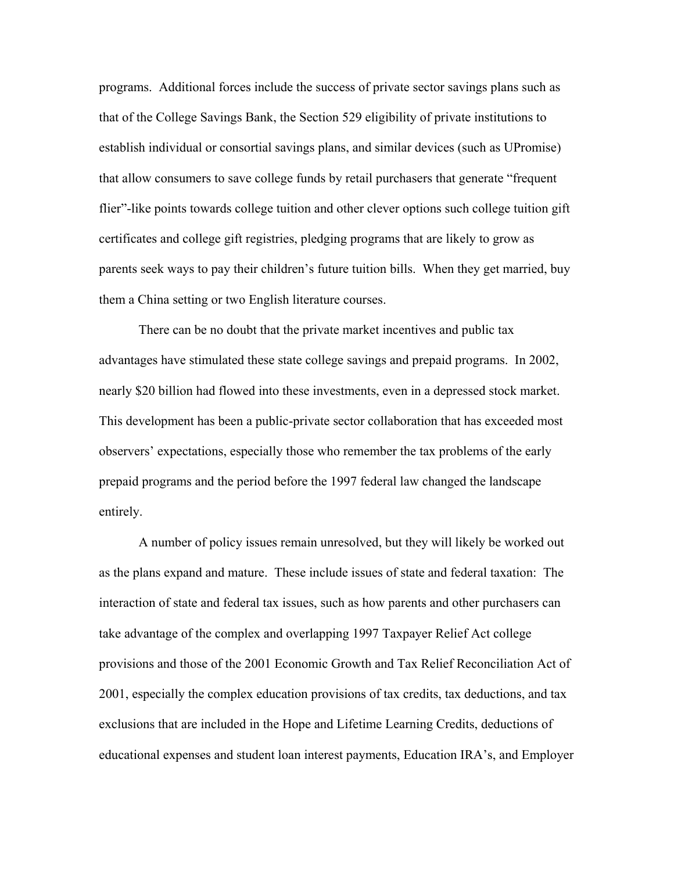programs. Additional forces include the success of private sector savings plans such as that of the College Savings Bank, the Section 529 eligibility of private institutions to establish individual or consortial savings plans, and similar devices (such as UPromise) that allow consumers to save college funds by retail purchasers that generate "frequent flier"-like points towards college tuition and other clever options such college tuition gift certificates and college gift registries, pledging programs that are likely to grow as parents seek ways to pay their children's future tuition bills. When they get married, buy them a China setting or two English literature courses.

 There can be no doubt that the private market incentives and public tax advantages have stimulated these state college savings and prepaid programs. In 2002, nearly \$20 billion had flowed into these investments, even in a depressed stock market. This development has been a public-private sector collaboration that has exceeded most observers' expectations, especially those who remember the tax problems of the early prepaid programs and the period before the 1997 federal law changed the landscape entirely.

 A number of policy issues remain unresolved, but they will likely be worked out as the plans expand and mature. These include issues of state and federal taxation: The interaction of state and federal tax issues, such as how parents and other purchasers can take advantage of the complex and overlapping 1997 Taxpayer Relief Act college provisions and those of the 2001 Economic Growth and Tax Relief Reconciliation Act of 2001, especially the complex education provisions of tax credits, tax deductions, and tax exclusions that are included in the Hope and Lifetime Learning Credits, deductions of educational expenses and student loan interest payments, Education IRA's, and Employer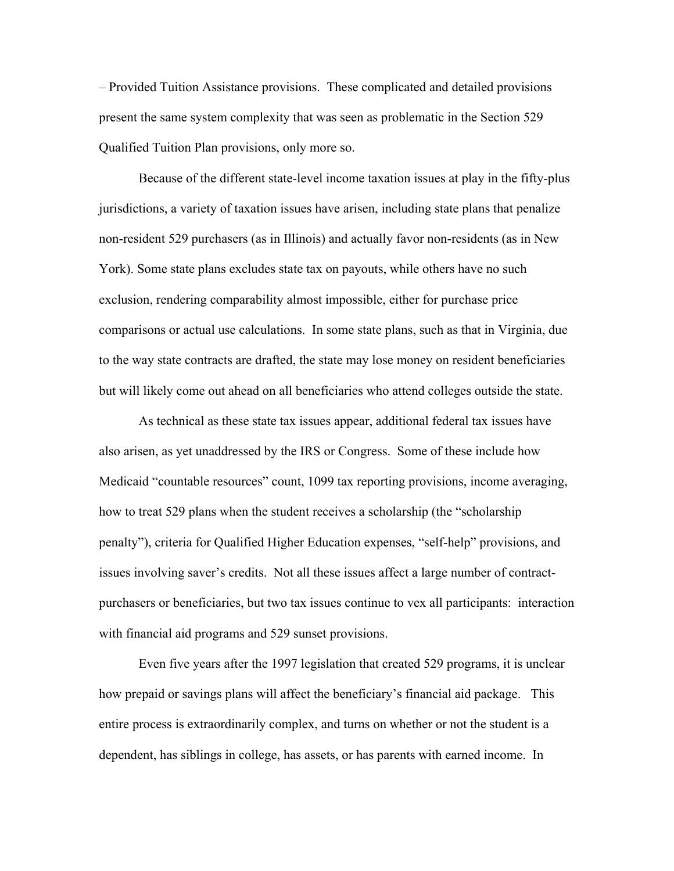– Provided Tuition Assistance provisions. These complicated and detailed provisions present the same system complexity that was seen as problematic in the Section 529 Qualified Tuition Plan provisions, only more so.

 Because of the different state-level income taxation issues at play in the fifty-plus jurisdictions, a variety of taxation issues have arisen, including state plans that penalize non-resident 529 purchasers (as in Illinois) and actually favor non-residents (as in New York). Some state plans excludes state tax on payouts, while others have no such exclusion, rendering comparability almost impossible, either for purchase price comparisons or actual use calculations. In some state plans, such as that in Virginia, due to the way state contracts are drafted, the state may lose money on resident beneficiaries but will likely come out ahead on all beneficiaries who attend colleges outside the state.

 As technical as these state tax issues appear, additional federal tax issues have also arisen, as yet unaddressed by the IRS or Congress. Some of these include how Medicaid "countable resources" count, 1099 tax reporting provisions, income averaging, how to treat 529 plans when the student receives a scholarship (the "scholarship penalty"), criteria for Qualified Higher Education expenses, "self-help" provisions, and issues involving saver's credits. Not all these issues affect a large number of contractpurchasers or beneficiaries, but two tax issues continue to vex all participants: interaction with financial aid programs and 529 sunset provisions.

 Even five years after the 1997 legislation that created 529 programs, it is unclear how prepaid or savings plans will affect the beneficiary's financial aid package. This entire process is extraordinarily complex, and turns on whether or not the student is a dependent, has siblings in college, has assets, or has parents with earned income. In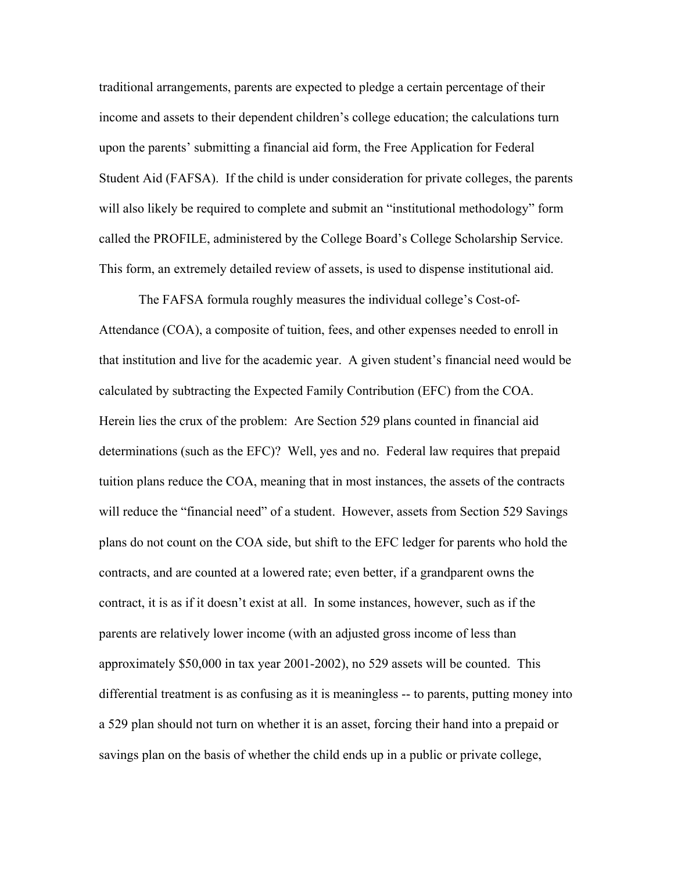traditional arrangements, parents are expected to pledge a certain percentage of their income and assets to their dependent children's college education; the calculations turn upon the parents' submitting a financial aid form, the Free Application for Federal Student Aid (FAFSA). If the child is under consideration for private colleges, the parents will also likely be required to complete and submit an "institutional methodology" form called the PROFILE, administered by the College Board's College Scholarship Service. This form, an extremely detailed review of assets, is used to dispense institutional aid.

 The FAFSA formula roughly measures the individual college's Cost-of-Attendance (COA), a composite of tuition, fees, and other expenses needed to enroll in that institution and live for the academic year. A given student's financial need would be calculated by subtracting the Expected Family Contribution (EFC) from the COA. Herein lies the crux of the problem: Are Section 529 plans counted in financial aid determinations (such as the EFC)? Well, yes and no. Federal law requires that prepaid tuition plans reduce the COA, meaning that in most instances, the assets of the contracts will reduce the "financial need" of a student. However, assets from Section 529 Savings plans do not count on the COA side, but shift to the EFC ledger for parents who hold the contracts, and are counted at a lowered rate; even better, if a grandparent owns the contract, it is as if it doesn't exist at all. In some instances, however, such as if the parents are relatively lower income (with an adjusted gross income of less than approximately \$50,000 in tax year 2001-2002), no 529 assets will be counted. This differential treatment is as confusing as it is meaningless -- to parents, putting money into a 529 plan should not turn on whether it is an asset, forcing their hand into a prepaid or savings plan on the basis of whether the child ends up in a public or private college,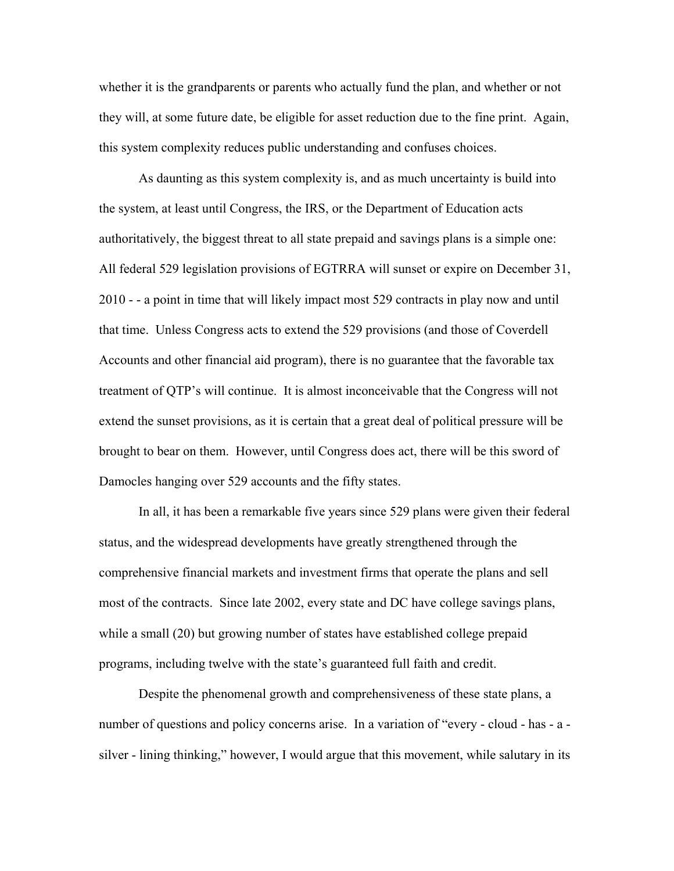whether it is the grandparents or parents who actually fund the plan, and whether or not they will, at some future date, be eligible for asset reduction due to the fine print. Again, this system complexity reduces public understanding and confuses choices.

 As daunting as this system complexity is, and as much uncertainty is build into the system, at least until Congress, the IRS, or the Department of Education acts authoritatively, the biggest threat to all state prepaid and savings plans is a simple one: All federal 529 legislation provisions of EGTRRA will sunset or expire on December 31, 2010 - - a point in time that will likely impact most 529 contracts in play now and until that time. Unless Congress acts to extend the 529 provisions (and those of Coverdell Accounts and other financial aid program), there is no guarantee that the favorable tax treatment of QTP's will continue. It is almost inconceivable that the Congress will not extend the sunset provisions, as it is certain that a great deal of political pressure will be brought to bear on them. However, until Congress does act, there will be this sword of Damocles hanging over 529 accounts and the fifty states.

 In all, it has been a remarkable five years since 529 plans were given their federal status, and the widespread developments have greatly strengthened through the comprehensive financial markets and investment firms that operate the plans and sell most of the contracts. Since late 2002, every state and DC have college savings plans, while a small (20) but growing number of states have established college prepaid programs, including twelve with the state's guaranteed full faith and credit.

 Despite the phenomenal growth and comprehensiveness of these state plans, a number of questions and policy concerns arise. In a variation of "every - cloud - has - a silver - lining thinking," however, I would argue that this movement, while salutary in its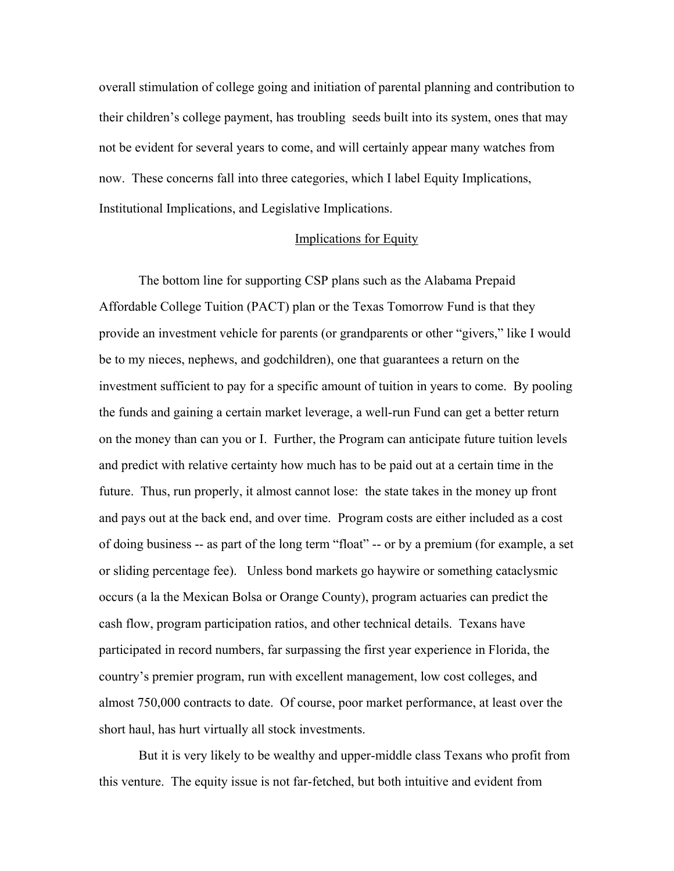overall stimulation of college going and initiation of parental planning and contribution to their children's college payment, has troubling seeds built into its system, ones that may not be evident for several years to come, and will certainly appear many watches from now. These concerns fall into three categories, which I label Equity Implications, Institutional Implications, and Legislative Implications.

### Implications for Equity

The bottom line for supporting CSP plans such as the Alabama Prepaid Affordable College Tuition (PACT) plan or the Texas Tomorrow Fund is that they provide an investment vehicle for parents (or grandparents or other "givers," like I would be to my nieces, nephews, and godchildren), one that guarantees a return on the investment sufficient to pay for a specific amount of tuition in years to come. By pooling the funds and gaining a certain market leverage, a well-run Fund can get a better return on the money than can you or I. Further, the Program can anticipate future tuition levels and predict with relative certainty how much has to be paid out at a certain time in the future. Thus, run properly, it almost cannot lose: the state takes in the money up front and pays out at the back end, and over time. Program costs are either included as a cost of doing business -- as part of the long term "float" -- or by a premium (for example, a set or sliding percentage fee). Unless bond markets go haywire or something cataclysmic occurs (a la the Mexican Bolsa or Orange County), program actuaries can predict the cash flow, program participation ratios, and other technical details. Texans have participated in record numbers, far surpassing the first year experience in Florida, the country's premier program, run with excellent management, low cost colleges, and almost 750,000 contracts to date. Of course, poor market performance, at least over the short haul, has hurt virtually all stock investments.

But it is very likely to be wealthy and upper-middle class Texans who profit from this venture. The equity issue is not far-fetched, but both intuitive and evident from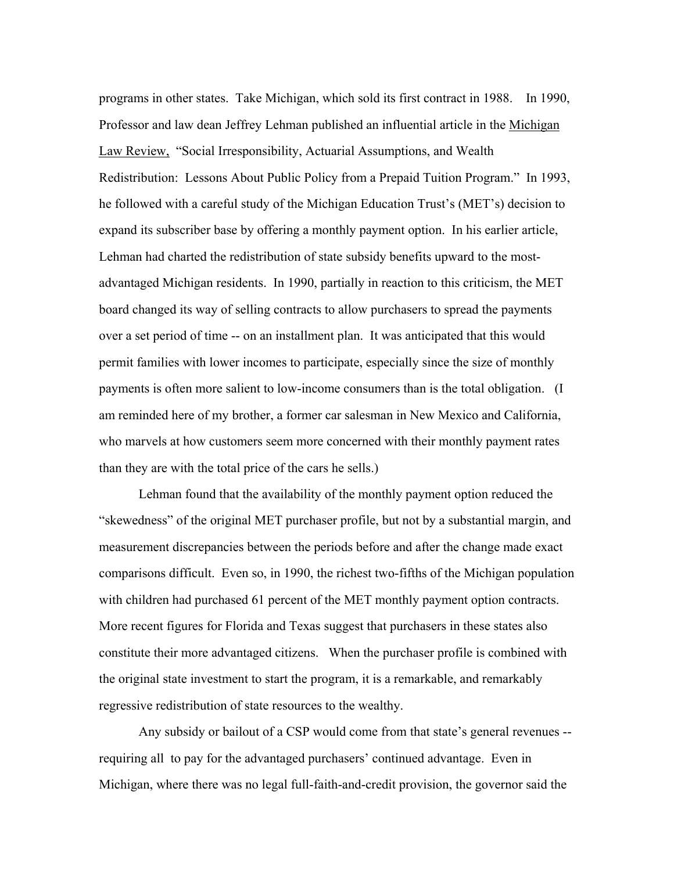programs in other states. Take Michigan, which sold its first contract in 1988. In 1990, Professor and law dean Jeffrey Lehman published an influential article in the Michigan Law Review, "Social Irresponsibility, Actuarial Assumptions, and Wealth Redistribution: Lessons About Public Policy from a Prepaid Tuition Program." In 1993, he followed with a careful study of the Michigan Education Trust's (MET's) decision to expand its subscriber base by offering a monthly payment option. In his earlier article, Lehman had charted the redistribution of state subsidy benefits upward to the mostadvantaged Michigan residents. In 1990, partially in reaction to this criticism, the MET board changed its way of selling contracts to allow purchasers to spread the payments over a set period of time -- on an installment plan. It was anticipated that this would permit families with lower incomes to participate, especially since the size of monthly payments is often more salient to low-income consumers than is the total obligation. (I am reminded here of my brother, a former car salesman in New Mexico and California, who marvels at how customers seem more concerned with their monthly payment rates than they are with the total price of the cars he sells.)

Lehman found that the availability of the monthly payment option reduced the "skewedness" of the original MET purchaser profile, but not by a substantial margin, and measurement discrepancies between the periods before and after the change made exact comparisons difficult. Even so, in 1990, the richest two-fifths of the Michigan population with children had purchased 61 percent of the MET monthly payment option contracts. More recent figures for Florida and Texas suggest that purchasers in these states also constitute their more advantaged citizens. When the purchaser profile is combined with the original state investment to start the program, it is a remarkable, and remarkably regressive redistribution of state resources to the wealthy.

Any subsidy or bailout of a CSP would come from that state's general revenues - requiring all to pay for the advantaged purchasers' continued advantage. Even in Michigan, where there was no legal full-faith-and-credit provision, the governor said the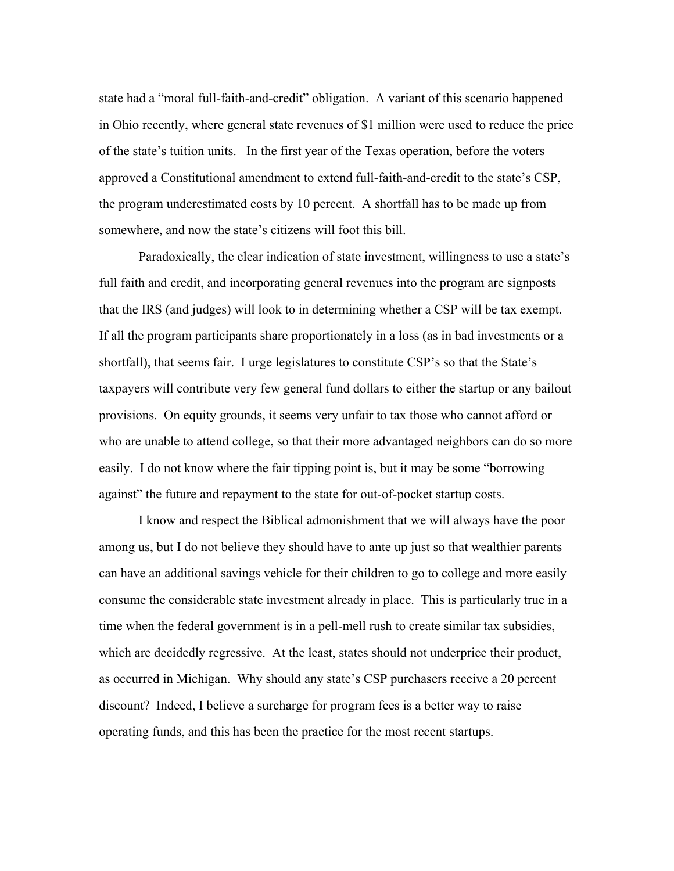state had a "moral full-faith-and-credit" obligation. A variant of this scenario happened in Ohio recently, where general state revenues of \$1 million were used to reduce the price of the state's tuition units. In the first year of the Texas operation, before the voters approved a Constitutional amendment to extend full-faith-and-credit to the state's CSP, the program underestimated costs by 10 percent. A shortfall has to be made up from somewhere, and now the state's citizens will foot this bill.

Paradoxically, the clear indication of state investment, willingness to use a state's full faith and credit, and incorporating general revenues into the program are signposts that the IRS (and judges) will look to in determining whether a CSP will be tax exempt. If all the program participants share proportionately in a loss (as in bad investments or a shortfall), that seems fair. I urge legislatures to constitute CSP's so that the State's taxpayers will contribute very few general fund dollars to either the startup or any bailout provisions. On equity grounds, it seems very unfair to tax those who cannot afford or who are unable to attend college, so that their more advantaged neighbors can do so more easily. I do not know where the fair tipping point is, but it may be some "borrowing against" the future and repayment to the state for out-of-pocket startup costs.

I know and respect the Biblical admonishment that we will always have the poor among us, but I do not believe they should have to ante up just so that wealthier parents can have an additional savings vehicle for their children to go to college and more easily consume the considerable state investment already in place. This is particularly true in a time when the federal government is in a pell-mell rush to create similar tax subsidies, which are decidedly regressive. At the least, states should not underprice their product, as occurred in Michigan. Why should any state's CSP purchasers receive a 20 percent discount? Indeed, I believe a surcharge for program fees is a better way to raise operating funds, and this has been the practice for the most recent startups.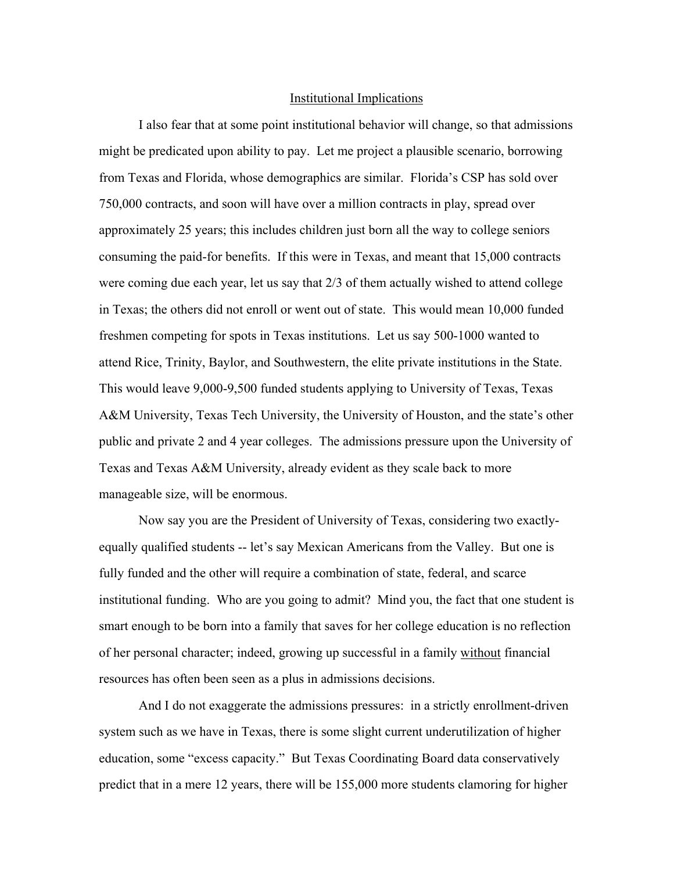#### Institutional Implications

I also fear that at some point institutional behavior will change, so that admissions might be predicated upon ability to pay. Let me project a plausible scenario, borrowing from Texas and Florida, whose demographics are similar. Florida's CSP has sold over 750,000 contracts, and soon will have over a million contracts in play, spread over approximately 25 years; this includes children just born all the way to college seniors consuming the paid-for benefits. If this were in Texas, and meant that 15,000 contracts were coming due each year, let us say that 2/3 of them actually wished to attend college in Texas; the others did not enroll or went out of state. This would mean 10,000 funded freshmen competing for spots in Texas institutions. Let us say 500-1000 wanted to attend Rice, Trinity, Baylor, and Southwestern, the elite private institutions in the State. This would leave 9,000-9,500 funded students applying to University of Texas, Texas A&M University, Texas Tech University, the University of Houston, and the state's other public and private 2 and 4 year colleges. The admissions pressure upon the University of Texas and Texas A&M University, already evident as they scale back to more manageable size, will be enormous.

Now say you are the President of University of Texas, considering two exactlyequally qualified students -- let's say Mexican Americans from the Valley. But one is fully funded and the other will require a combination of state, federal, and scarce institutional funding. Who are you going to admit? Mind you, the fact that one student is smart enough to be born into a family that saves for her college education is no reflection of her personal character; indeed, growing up successful in a family without financial resources has often been seen as a plus in admissions decisions.

And I do not exaggerate the admissions pressures: in a strictly enrollment-driven system such as we have in Texas, there is some slight current underutilization of higher education, some "excess capacity." But Texas Coordinating Board data conservatively predict that in a mere 12 years, there will be 155,000 more students clamoring for higher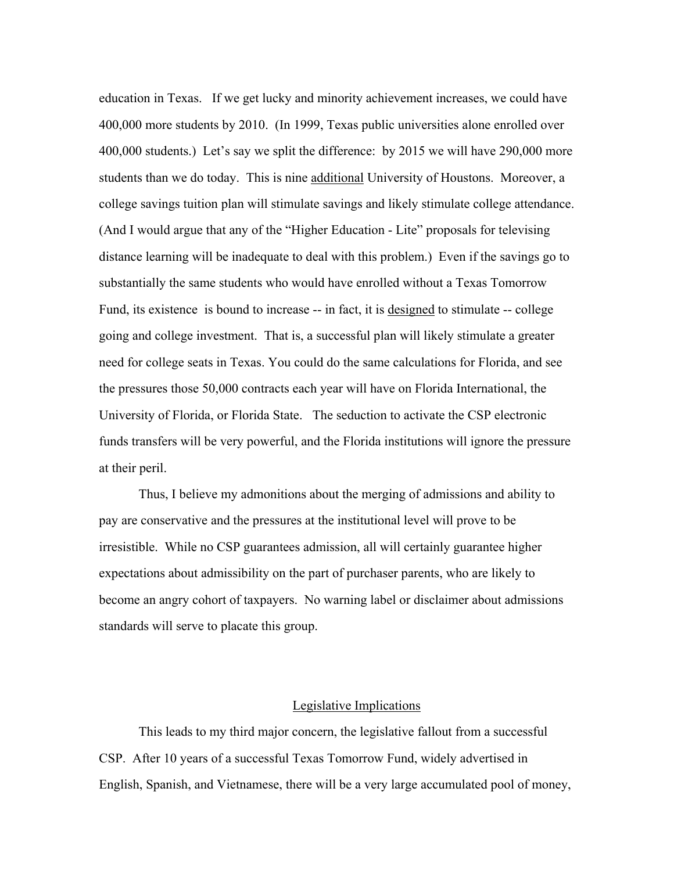education in Texas. If we get lucky and minority achievement increases, we could have 400,000 more students by 2010. (In 1999, Texas public universities alone enrolled over 400,000 students.) Let's say we split the difference: by 2015 we will have 290,000 more students than we do today. This is nine additional University of Houstons. Moreover, a college savings tuition plan will stimulate savings and likely stimulate college attendance. (And I would argue that any of the "Higher Education - Lite" proposals for televising distance learning will be inadequate to deal with this problem.) Even if the savings go to substantially the same students who would have enrolled without a Texas Tomorrow Fund, its existence is bound to increase -- in fact, it is designed to stimulate -- college going and college investment. That is, a successful plan will likely stimulate a greater need for college seats in Texas. You could do the same calculations for Florida, and see the pressures those 50,000 contracts each year will have on Florida International, the University of Florida, or Florida State. The seduction to activate the CSP electronic funds transfers will be very powerful, and the Florida institutions will ignore the pressure at their peril.

 Thus, I believe my admonitions about the merging of admissions and ability to pay are conservative and the pressures at the institutional level will prove to be irresistible. While no CSP guarantees admission, all will certainly guarantee higher expectations about admissibility on the part of purchaser parents, who are likely to become an angry cohort of taxpayers. No warning label or disclaimer about admissions standards will serve to placate this group.

### Legislative Implications

This leads to my third major concern, the legislative fallout from a successful CSP. After 10 years of a successful Texas Tomorrow Fund, widely advertised in English, Spanish, and Vietnamese, there will be a very large accumulated pool of money,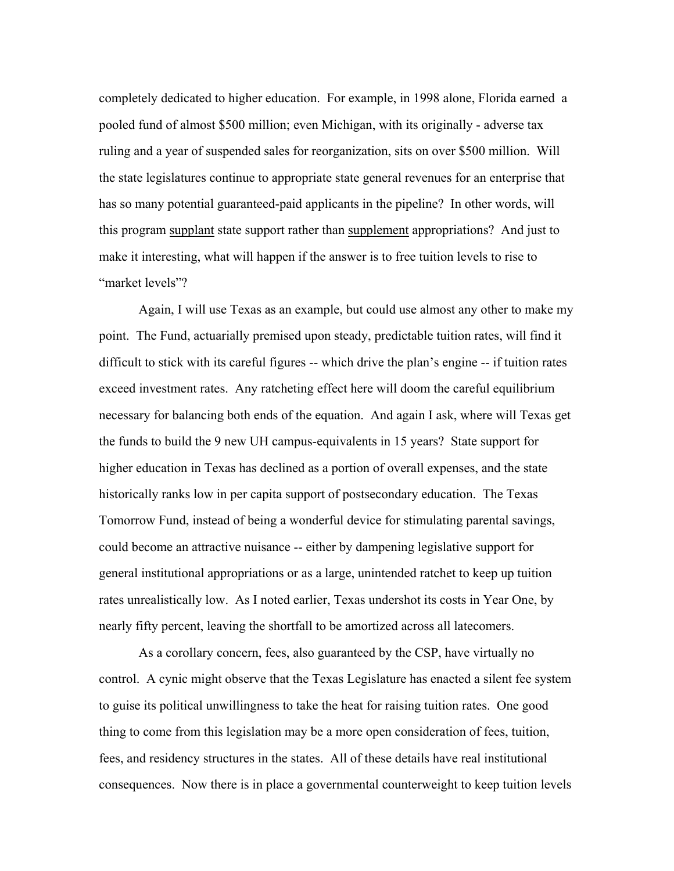completely dedicated to higher education. For example, in 1998 alone, Florida earned a pooled fund of almost \$500 million; even Michigan, with its originally - adverse tax ruling and a year of suspended sales for reorganization, sits on over \$500 million. Will the state legislatures continue to appropriate state general revenues for an enterprise that has so many potential guaranteed-paid applicants in the pipeline? In other words, will this program supplant state support rather than supplement appropriations? And just to make it interesting, what will happen if the answer is to free tuition levels to rise to "market levels"?

Again, I will use Texas as an example, but could use almost any other to make my point. The Fund, actuarially premised upon steady, predictable tuition rates, will find it difficult to stick with its careful figures -- which drive the plan's engine -- if tuition rates exceed investment rates. Any ratcheting effect here will doom the careful equilibrium necessary for balancing both ends of the equation. And again I ask, where will Texas get the funds to build the 9 new UH campus-equivalents in 15 years? State support for higher education in Texas has declined as a portion of overall expenses, and the state historically ranks low in per capita support of postsecondary education. The Texas Tomorrow Fund, instead of being a wonderful device for stimulating parental savings, could become an attractive nuisance -- either by dampening legislative support for general institutional appropriations or as a large, unintended ratchet to keep up tuition rates unrealistically low. As I noted earlier, Texas undershot its costs in Year One, by nearly fifty percent, leaving the shortfall to be amortized across all latecomers.

As a corollary concern, fees, also guaranteed by the CSP, have virtually no control. A cynic might observe that the Texas Legislature has enacted a silent fee system to guise its political unwillingness to take the heat for raising tuition rates. One good thing to come from this legislation may be a more open consideration of fees, tuition, fees, and residency structures in the states. All of these details have real institutional consequences. Now there is in place a governmental counterweight to keep tuition levels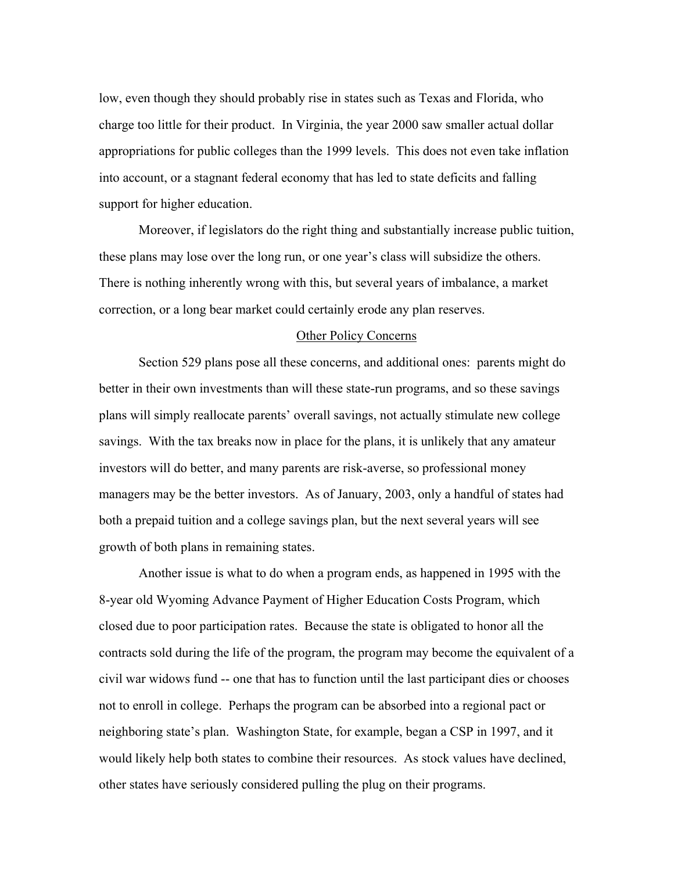low, even though they should probably rise in states such as Texas and Florida, who charge too little for their product. In Virginia, the year 2000 saw smaller actual dollar appropriations for public colleges than the 1999 levels. This does not even take inflation into account, or a stagnant federal economy that has led to state deficits and falling support for higher education.

Moreover, if legislators do the right thing and substantially increase public tuition, these plans may lose over the long run, or one year's class will subsidize the others. There is nothing inherently wrong with this, but several years of imbalance, a market correction, or a long bear market could certainly erode any plan reserves.

### Other Policy Concerns

 Section 529 plans pose all these concerns, and additional ones: parents might do better in their own investments than will these state-run programs, and so these savings plans will simply reallocate parents' overall savings, not actually stimulate new college savings. With the tax breaks now in place for the plans, it is unlikely that any amateur investors will do better, and many parents are risk-averse, so professional money managers may be the better investors. As of January, 2003, only a handful of states had both a prepaid tuition and a college savings plan, but the next several years will see growth of both plans in remaining states.

Another issue is what to do when a program ends, as happened in 1995 with the 8-year old Wyoming Advance Payment of Higher Education Costs Program, which closed due to poor participation rates. Because the state is obligated to honor all the contracts sold during the life of the program, the program may become the equivalent of a civil war widows fund -- one that has to function until the last participant dies or chooses not to enroll in college. Perhaps the program can be absorbed into a regional pact or neighboring state's plan. Washington State, for example, began a CSP in 1997, and it would likely help both states to combine their resources. As stock values have declined, other states have seriously considered pulling the plug on their programs.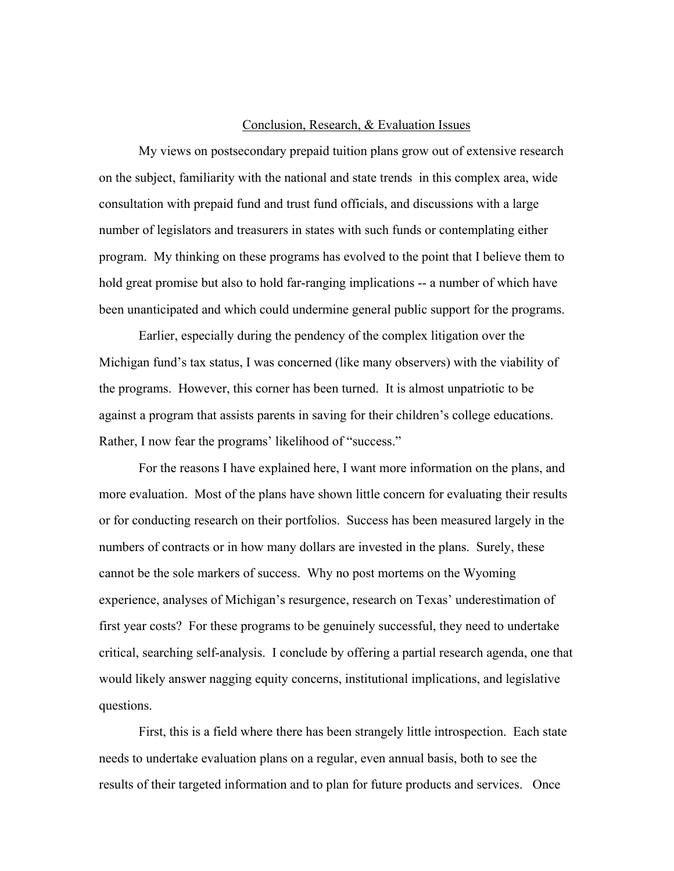### Conclusion, Research, & Evaluation Issues

My views on postsecondary prepaid tuition plans grow out of extensive research on the subject, familiarity with the national and state trends in this complex area, wide consultation with prepaid fund and trust fund officials, and discussions with a large number of legislators and treasurers in states with such funds or contemplating either program. My thinking on these programs has evolved to the point that I believe them to hold great promise but also to hold far-ranging implications -- a number of which have been unanticipated and which could undermine general public support for the programs.

Earlier, especially during the pendency of the complex litigation over the Michigan fund's tax status, I was concerned (like many observers) with the viability of the programs. However, this corner has been turned. It is almost unpatriotic to be against a program that assists parents in saving for their children's college educations. Rather, I now fear the programs' likelihood of "success."

For the reasons I have explained here, I want more information on the plans, and more evaluation. Most of the plans have shown little concern for evaluating their results or for conducting research on their portfolios. Success has been measured largely in the numbers of contracts or in how many dollars are invested in the plans. Surely, these cannot be the sole markers of success. Why no post mortems on the Wyoming experience, analyses of Michigan's resurgence, research on Texas' underestimation of first year costs? For these programs to be genuinely successful, they need to undertake critical, searching self-analysis. I conclude by offering a partial research agenda, one that would likely answer nagging equity concerns, institutional implications, and legislative questions.

First, this is a field where there has been strangely little introspection. Each state needs to undertake evaluation plans on a regular, even annual basis, both to see the results of their targeted information and to plan for future products and services. Once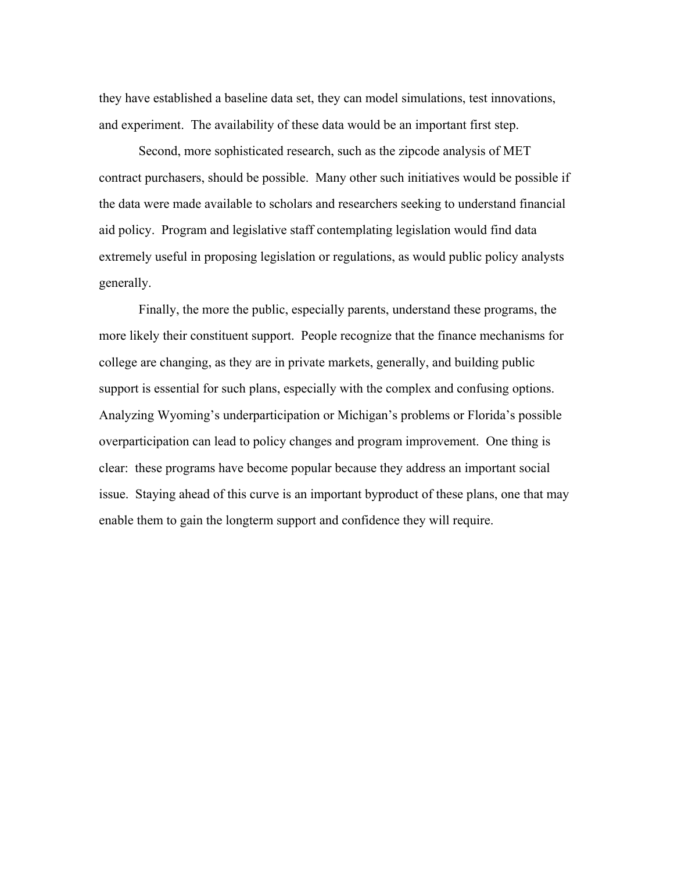they have established a baseline data set, they can model simulations, test innovations, and experiment. The availability of these data would be an important first step.

Second, more sophisticated research, such as the zipcode analysis of MET contract purchasers, should be possible. Many other such initiatives would be possible if the data were made available to scholars and researchers seeking to understand financial aid policy. Program and legislative staff contemplating legislation would find data extremely useful in proposing legislation or regulations, as would public policy analysts generally.

Finally, the more the public, especially parents, understand these programs, the more likely their constituent support. People recognize that the finance mechanisms for college are changing, as they are in private markets, generally, and building public support is essential for such plans, especially with the complex and confusing options. Analyzing Wyoming's underparticipation or Michigan's problems or Florida's possible overparticipation can lead to policy changes and program improvement. One thing is clear: these programs have become popular because they address an important social issue. Staying ahead of this curve is an important byproduct of these plans, one that may enable them to gain the longterm support and confidence they will require.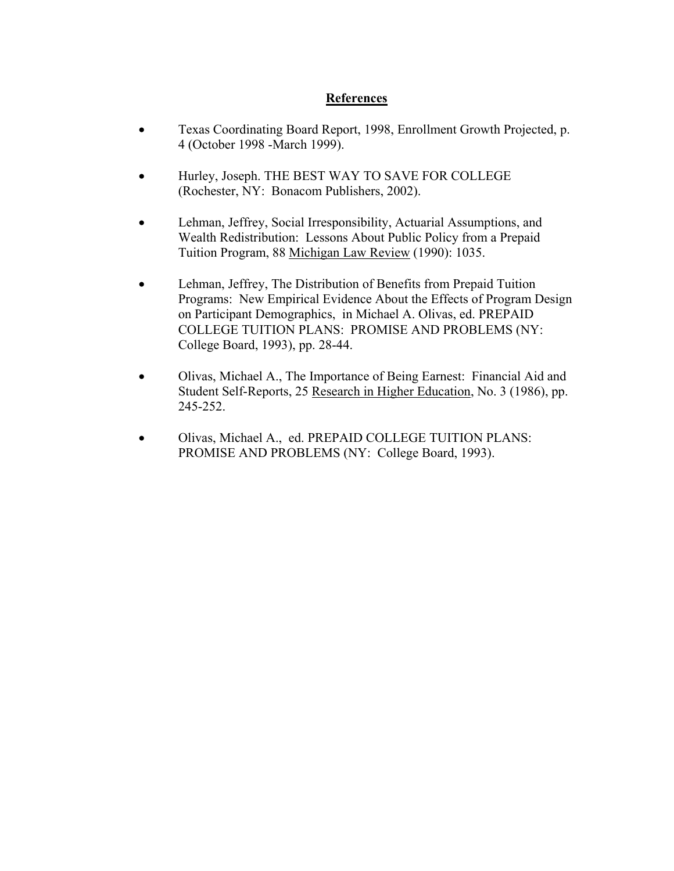## **References**

- Texas Coordinating Board Report, 1998, Enrollment Growth Projected, p. 4 (October 1998 -March 1999).
- Hurley, Joseph. THE BEST WAY TO SAVE FOR COLLEGE (Rochester, NY: Bonacom Publishers, 2002).
- Lehman, Jeffrey, Social Irresponsibility, Actuarial Assumptions, and Wealth Redistribution: Lessons About Public Policy from a Prepaid Tuition Program, 88 Michigan Law Review (1990): 1035.
- Lehman, Jeffrey, The Distribution of Benefits from Prepaid Tuition Programs: New Empirical Evidence About the Effects of Program Design on Participant Demographics, in Michael A. Olivas, ed. PREPAID COLLEGE TUITION PLANS: PROMISE AND PROBLEMS (NY: College Board, 1993), pp. 28-44.
- Olivas, Michael A., The Importance of Being Earnest: Financial Aid and Student Self-Reports, 25 Research in Higher Education, No. 3 (1986), pp. 245-252.
- Olivas, Michael A., ed. PREPAID COLLEGE TUITION PLANS: PROMISE AND PROBLEMS (NY: College Board, 1993).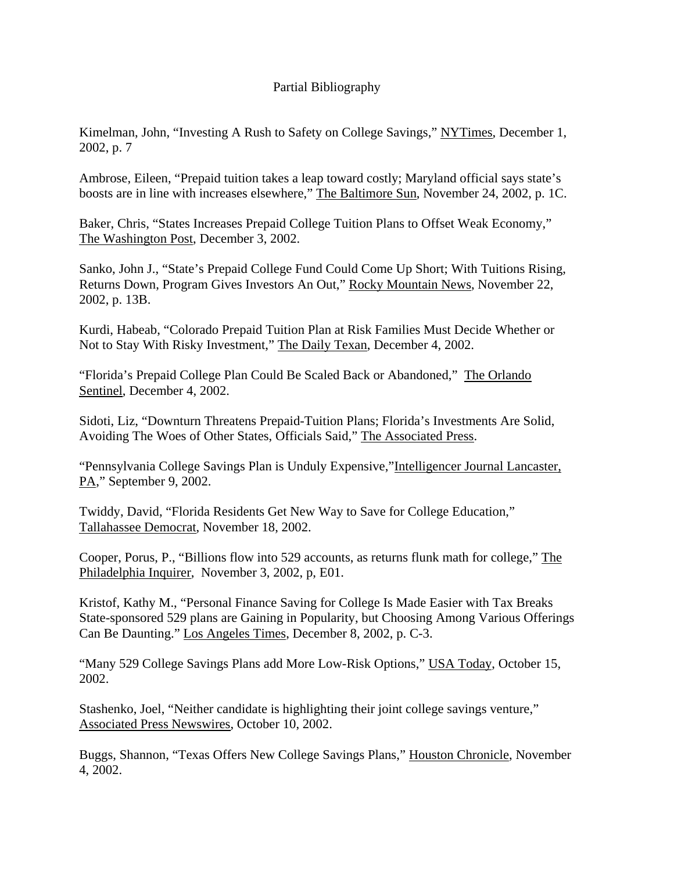### Partial Bibliography

Kimelman, John, "Investing A Rush to Safety on College Savings," NYTimes, December 1, 2002, p. 7

Ambrose, Eileen, "Prepaid tuition takes a leap toward costly; Maryland official says state's boosts are in line with increases elsewhere," The Baltimore Sun, November 24, 2002, p. 1C.

Baker, Chris, "States Increases Prepaid College Tuition Plans to Offset Weak Economy," The Washington Post, December 3, 2002.

Sanko, John J., "State's Prepaid College Fund Could Come Up Short; With Tuitions Rising, Returns Down, Program Gives Investors An Out," Rocky Mountain News, November 22, 2002, p. 13B.

Kurdi, Habeab, "Colorado Prepaid Tuition Plan at Risk Families Must Decide Whether or Not to Stay With Risky Investment," The Daily Texan, December 4, 2002.

"Florida's Prepaid College Plan Could Be Scaled Back or Abandoned," The Orlando Sentinel, December 4, 2002.

Sidoti, Liz, "Downturn Threatens Prepaid-Tuition Plans; Florida's Investments Are Solid, Avoiding The Woes of Other States, Officials Said," The Associated Press.

"Pennsylvania College Savings Plan is Unduly Expensive,"Intelligencer Journal Lancaster, PA," September 9, 2002.

Twiddy, David, "Florida Residents Get New Way to Save for College Education," Tallahassee Democrat, November 18, 2002.

Cooper, Porus, P., "Billions flow into 529 accounts, as returns flunk math for college," The Philadelphia Inquirer, November 3, 2002, p, E01.

Kristof, Kathy M., "Personal Finance Saving for College Is Made Easier with Tax Breaks State-sponsored 529 plans are Gaining in Popularity, but Choosing Among Various Offerings Can Be Daunting." Los Angeles Times, December 8, 2002, p. C-3.

"Many 529 College Savings Plans add More Low-Risk Options," USA Today, October 15, 2002.

Stashenko, Joel, "Neither candidate is highlighting their joint college savings venture," Associated Press Newswires, October 10, 2002.

Buggs, Shannon, "Texas Offers New College Savings Plans," Houston Chronicle, November 4, 2002.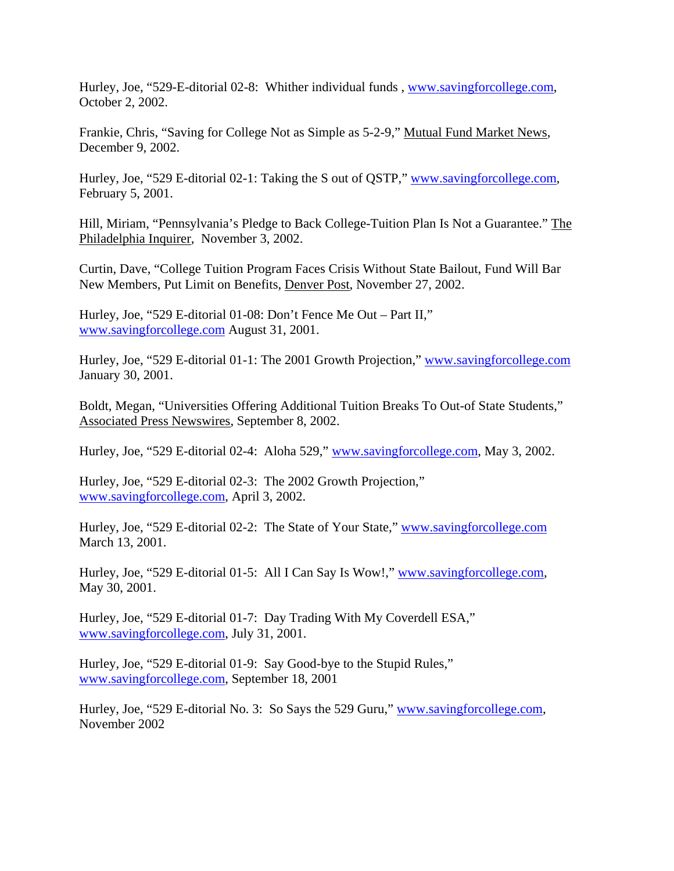Hurley, Joe, "529-E-ditorial 02-8: Whither individual funds , [www.savingforcollege.com](http://www.savingforcollege.com/), October 2, 2002.

Frankie, Chris, "Saving for College Not as Simple as 5-2-9," Mutual Fund Market News, December 9, 2002.

Hurley, Joe, "529 E-ditorial 02-1: Taking the S out of QSTP," [www.savingforcollege.com,](http://www.savingforcollege.com/) February 5, 2001.

Hill, Miriam, "Pennsylvania's Pledge to Back College-Tuition Plan Is Not a Guarantee." The Philadelphia Inquirer, November 3, 2002.

Curtin, Dave, "College Tuition Program Faces Crisis Without State Bailout, Fund Will Bar New Members, Put Limit on Benefits, Denver Post, November 27, 2002.

Hurley, Joe, "529 E-ditorial 01-08: Don't Fence Me Out – Part II," [www.savingforcollege.com](http://www.savingforcollege.com/) August 31, 2001.

Hurley, Joe, "529 E-ditorial 01-1: The 2001 Growth Projection," [www.savingforcollege.com](http://www.savingforcollege.com/) January 30, 2001.

Boldt, Megan, "Universities Offering Additional Tuition Breaks To Out-of State Students," Associated Press Newswires, September 8, 2002.

Hurley, Joe, "529 E-ditorial 02-4: Aloha 529," [www.savingforcollege.com](http://www.savingforcollege.com/), May 3, 2002.

Hurley, Joe, "529 E-ditorial 02-3: The 2002 Growth Projection," [www.savingforcollege.com,](http://www.savingforcollege.com/) April 3, 2002.

Hurley, Joe, "529 E-ditorial 02-2: The State of Your State," [www.savingforcollege.com](http://www.savingforcollege.com/) March 13, 2001.

Hurley, Joe, "529 E-ditorial 01-5: All I Can Say Is Wow!," [www.savingforcollege.com](http://www.savingforcollege.com/), May 30, 2001.

Hurley, Joe, "529 E-ditorial 01-7: Day Trading With My Coverdell ESA," [www.savingforcollege.com,](http://www.savingforcollege.com/) July 31, 2001.

Hurley, Joe, "529 E-ditorial 01-9: Say Good-bye to the Stupid Rules," [www.savingforcollege.com,](http://www.savingforcollege.com/) September 18, 2001

Hurley, Joe, "529 E-ditorial No. 3: So Says the 529 Guru," [www.savingforcollege.com](http://www.savingforcollege.com/), November 2002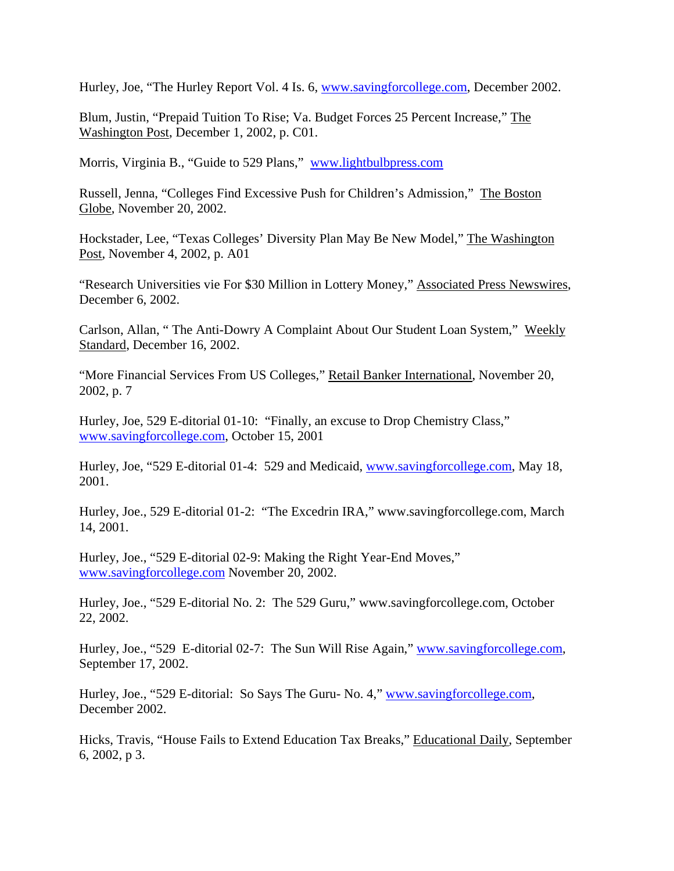Hurley, Joe, "The Hurley Report Vol. 4 Is. 6, [www.savingforcollege.com,](http://www.savingforcollege.com/) December 2002.

Blum, Justin, "Prepaid Tuition To Rise; Va. Budget Forces 25 Percent Increase," The Washington Post, December 1, 2002, p. C01.

Morris, Virginia B., "Guide to 529 Plans," www.lightbulbpress.com

Russell, Jenna, "Colleges Find Excessive Push for Children's Admission," The Boston Globe, November 20, 2002.

Hockstader, Lee, "Texas Colleges' Diversity Plan May Be New Model," The Washington Post, November 4, 2002, p. A01

"Research Universities vie For \$30 Million in Lottery Money," Associated Press Newswires, December 6, 2002.

Carlson, Allan, " The Anti-Dowry A Complaint About Our Student Loan System," Weekly Standard, December 16, 2002.

"More Financial Services From US Colleges," Retail Banker International, November 20, 2002, p. 7

Hurley, Joe, 529 E-ditorial 01-10: "Finally, an excuse to Drop Chemistry Class," [www.savingforcollege.com,](http://www.savingforcollege.com/) October 15, 2001

Hurley, Joe, "529 E-ditorial 01-4: 529 and Medicaid, [www.savingforcollege.com](http://www.savingforcollege.com/), May 18, 2001.

Hurley, Joe., 529 E-ditorial 01-2: "The Excedrin IRA," www.savingforcollege.com, March 14, 2001.

Hurley, Joe., "529 E-ditorial 02-9: Making the Right Year-End Moves," [www.savingforcollege.com](http://www.savingforcollege.com/) November 20, 2002.

Hurley, Joe., "529 E-ditorial No. 2: The 529 Guru," www.savingforcollege.com, October 22, 2002.

Hurley, Joe., "529 E-ditorial 02-7: The Sun Will Rise Again," [www.savingforcollege.com](http://www.savingforcollege.com/), September 17, 2002.

Hurley, Joe., "529 E-ditorial: So Says The Guru- No. 4," [www.savingforcollege.com](http://www.savingforcollege.com/), December 2002.

Hicks, Travis, "House Fails to Extend Education Tax Breaks," Educational Daily, September 6, 2002, p 3.